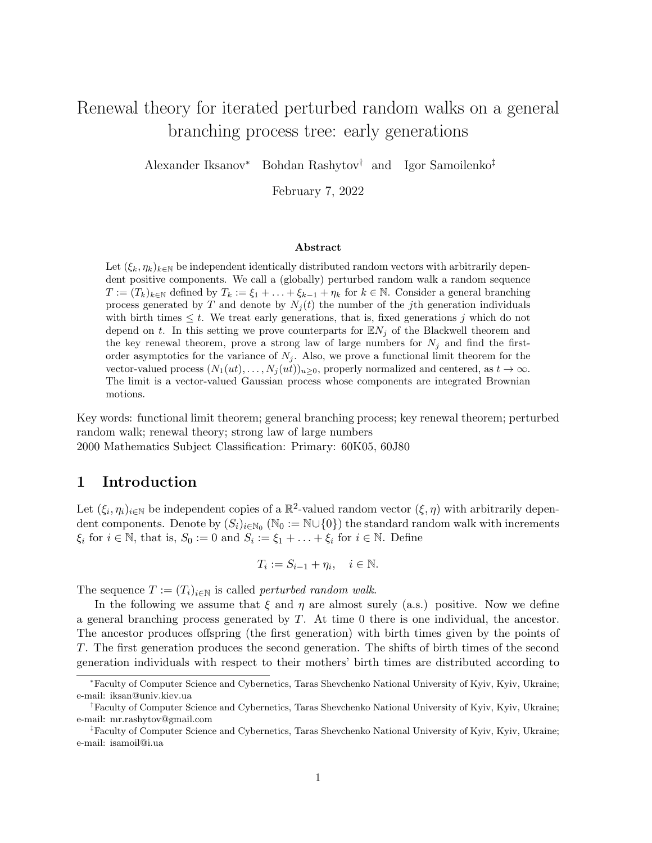# Renewal theory for iterated perturbed random walks on a general branching process tree: early generations

Alexander Iksanov<sup>∗</sup> Bohdan Rashytov† and Igor Samoilenko‡

February 7, 2022

#### Abstract

Let  $(\xi_k, \eta_k)_{k\in\mathbb{N}}$  be independent identically distributed random vectors with arbitrarily dependent positive components. We call a (globally) perturbed random walk a random sequence  $T := (T_k)_{k \in \mathbb{N}}$  defined by  $T_k := \xi_1 + \ldots + \xi_{k-1} + \eta_k$  for  $k \in \mathbb{N}$ . Consider a general branching process generated by T and denote by  $N_i(t)$  the number of the jth generation individuals with birth times  $\leq t$ . We treat early generations, that is, fixed generations j which do not depend on t. In this setting we prove counterparts for  $\mathbb{E} N_i$  of the Blackwell theorem and the key renewal theorem, prove a strong law of large numbers for  $N_j$  and find the firstorder asymptotics for the variance of  $N_j$ . Also, we prove a functional limit theorem for the vector-valued process  $(N_1(ut), \ldots, N_j(ut))_{u>0}$ , properly normalized and centered, as  $t \to \infty$ . The limit is a vector-valued Gaussian process whose components are integrated Brownian motions.

Key words: functional limit theorem; general branching process; key renewal theorem; perturbed random walk; renewal theory; strong law of large numbers 2000 Mathematics Subject Classification: Primary: 60K05, 60J80

### 1 Introduction

Let  $(\xi_i, \eta_i)_{i \in \mathbb{N}}$  be independent copies of a  $\mathbb{R}^2$ -valued random vector  $(\xi, \eta)$  with arbitrarily dependent components. Denote by  $(S_i)_{i\in\mathbb{N}_0}$  ( $\mathbb{N}_0 := \mathbb{N}\cup\{0\}$ ) the standard random walk with increments  $\xi_i$  for  $i \in \mathbb{N}$ , that is,  $S_0 := 0$  and  $S_i := \xi_1 + \ldots + \xi_i$  for  $i \in \mathbb{N}$ . Define

$$
T_i := S_{i-1} + \eta_i, \quad i \in \mathbb{N}.
$$

The sequence  $T := (T_i)_{i \in \mathbb{N}}$  is called *perturbed random walk.* 

In the following we assume that  $\xi$  and  $\eta$  are almost surely (a.s.) positive. Now we define a general branching process generated by T. At time 0 there is one individual, the ancestor. The ancestor produces offspring (the first generation) with birth times given by the points of T. The first generation produces the second generation. The shifts of birth times of the second generation individuals with respect to their mothers' birth times are distributed according to

<sup>∗</sup>Faculty of Computer Science and Cybernetics, Taras Shevchenko National University of Kyiv, Kyiv, Ukraine; e-mail: iksan@univ.kiev.ua

<sup>†</sup>Faculty of Computer Science and Cybernetics, Taras Shevchenko National University of Kyiv, Kyiv, Ukraine; e-mail: mr.rashytov@gmail.com

<sup>‡</sup>Faculty of Computer Science and Cybernetics, Taras Shevchenko National University of Kyiv, Kyiv, Ukraine; e-mail: isamoil@i.ua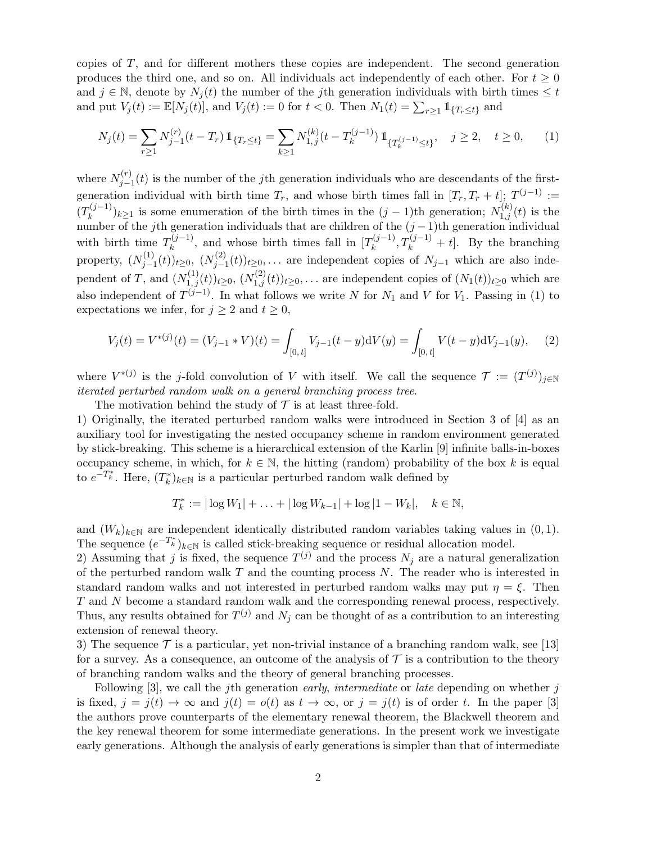copies of T, and for different mothers these copies are independent. The second generation produces the third one, and so on. All individuals act independently of each other. For  $t \geq 0$ and  $j \in \mathbb{N}$ , denote by  $N_i(t)$  the number of the jth generation individuals with birth times  $\leq t$ and put  $V_j(t) := \mathbb{E}[N_j(t)],$  and  $V_j(t) := 0$  for  $t < 0$ . Then  $N_1(t) = \sum_{r \geq 1} \mathbb{1}_{\{T_r \leq t\}}$  and

$$
N_j(t) = \sum_{r \ge 1} N_{j-1}^{(r)}(t - T_r) \, \mathbb{1}_{\{T_r \le t\}} = \sum_{k \ge 1} N_{1,j}^{(k)}(t - T_k^{(j-1)}) \, \mathbb{1}_{\{T_k^{(j-1)} \le t\}}, \quad j \ge 2, \quad t \ge 0,
$$
 (1)

where  $N_{i-}^{(r)}$  $j_{j-1}^{(r)}(t)$  is the number of the jth generation individuals who are descendants of the firstgeneration individual with birth time  $T_r$ , and whose birth times fall in  $[T_r, T_r + t]$ ;  $T^{(j-1)}$  :=  $(T_k^{(j-1)}$  $(k_k^{(j-1)})_{k\geq 1}$  is some enumeration of the birth times in the  $(j-1)$ th generation;  $N_{1,j}^{(k)}(t)$  is the number of the jth generation individuals that are children of the  $(j-1)$ th generation individual with birth time  $T_k^{(j-1)}$  $\mathbb{R}^{(j-1)}$ , and whose birth times fall in  $[T_k^{(j-1)}]$  $\mathcal{L}_k^{(j-1)}$ ,  $T_k^{(j-1)} + t$ . By the branching property,  $(N_{i-1}^{(1)})$  $j_{-1}^{(1)}(t))$ <sub>t≥0</sub>,  $(N_{j-1}^{(2)}$  $(j_{j-1}^{(2)}(t))_{t\geq0}$ ,... are independent copies of  $N_{j-1}$  which are also independent of T, and  $(N_{1,j}^{(1)}(t))_{t\geq0}$ ,  $(N_{1,j}^{(2)}(t))_{t\geq0}$ ,... are independent copies of  $(N_1(t))_{t\geq0}$  which are also independent of  $T^{(j-1)}$ . In what follows we write N for  $N_1$  and V for  $V_1$ . Passing in (1) to expectations we infer, for  $j \geq 2$  and  $t \geq 0$ ,

$$
V_j(t) = V^{*(j)}(t) = (V_{j-1} * V)(t) = \int_{[0,t]} V_{j-1}(t-y) dV(y) = \int_{[0,t]} V(t-y) dV_{j-1}(y), \quad (2)
$$

where  $V^{*(j)}$  is the j-fold convolution of V with itself. We call the sequence  $\mathcal{T} := (T^{(j)})_{j \in \mathbb{N}}$ iterated perturbed random walk on a general branching process tree.

The motivation behind the study of  $\mathcal T$  is at least three-fold.

1) Originally, the iterated perturbed random walks were introduced in Section 3 of [4] as an auxiliary tool for investigating the nested occupancy scheme in random environment generated by stick-breaking. This scheme is a hierarchical extension of the Karlin [9] infinite balls-in-boxes occupancy scheme, in which, for  $k \in \mathbb{N}$ , the hitting (random) probability of the box k is equal to  $e^{-T_k^*}$ . Here,  $(T_k^*)_{k \in \mathbb{N}}$  is a particular perturbed random walk defined by

$$
T_k^* := |\log W_1| + \ldots + |\log W_{k-1}| + \log |1 - W_k|, \quad k \in \mathbb{N},
$$

and  $(W_k)_{k \in \mathbb{N}}$  are independent identically distributed random variables taking values in  $(0, 1)$ . The sequence  $(e^{-T_k^*})_{k \in \mathbb{N}}$  is called stick-breaking sequence or residual allocation model.

2) Assuming that j is fixed, the sequence  $T^{(j)}$  and the process  $N_j$  are a natural generalization of the perturbed random walk  $T$  and the counting process  $N$ . The reader who is interested in standard random walks and not interested in perturbed random walks may put  $\eta = \xi$ . Then T and N become a standard random walk and the corresponding renewal process, respectively. Thus, any results obtained for  $T^{(j)}$  and  $N_j$  can be thought of as a contribution to an interesting extension of renewal theory.

3) The sequence  $\mathcal T$  is a particular, yet non-trivial instance of a branching random walk, see [13] for a survey. As a consequence, an outcome of the analysis of  $\mathcal T$  is a contribution to the theory of branching random walks and the theory of general branching processes.

Following  $[3]$ , we call the jth generation early, intermediate or late depending on whether j is fixed,  $j = j(t) \rightarrow \infty$  and  $j(t) = o(t)$  as  $t \rightarrow \infty$ , or  $j = j(t)$  is of order t. In the paper [3] the authors prove counterparts of the elementary renewal theorem, the Blackwell theorem and the key renewal theorem for some intermediate generations. In the present work we investigate early generations. Although the analysis of early generations is simpler than that of intermediate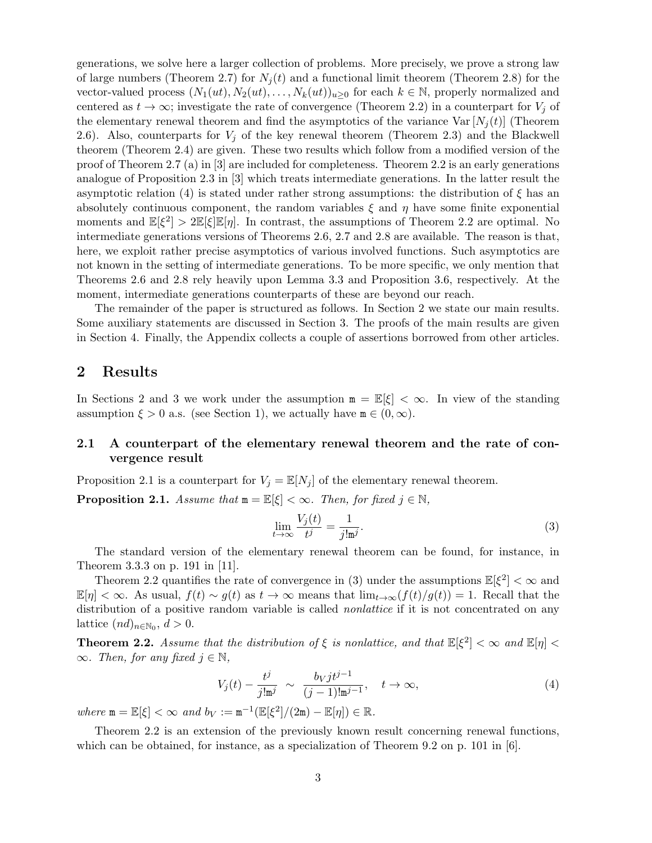generations, we solve here a larger collection of problems. More precisely, we prove a strong law of large numbers (Theorem 2.7) for  $N_i(t)$  and a functional limit theorem (Theorem 2.8) for the vector-valued process  $(N_1(ut), N_2(ut), \ldots, N_k(ut))_{u \geq 0}$  for each  $k \in \mathbb{N}$ , properly normalized and centered as  $t \to \infty$ ; investigate the rate of convergence (Theorem 2.2) in a counterpart for  $V_i$  of the elementary renewal theorem and find the asymptotics of the variance  $Var[N_j(t)]$  (Theorem 2.6). Also, counterparts for  $V_j$  of the key renewal theorem (Theorem 2.3) and the Blackwell theorem (Theorem 2.4) are given. These two results which follow from a modified version of the proof of Theorem 2.7 (a) in [3] are included for completeness. Theorem 2.2 is an early generations analogue of Proposition 2.3 in [3] which treats intermediate generations. In the latter result the asymptotic relation (4) is stated under rather strong assumptions: the distribution of  $\xi$  has an absolutely continuous component, the random variables  $\xi$  and  $\eta$  have some finite exponential moments and  $\mathbb{E}[\xi^2] > 2\mathbb{E}[\xi]\mathbb{E}[\eta]$ . In contrast, the assumptions of Theorem 2.2 are optimal. No intermediate generations versions of Theorems 2.6, 2.7 and 2.8 are available. The reason is that, here, we exploit rather precise asymptotics of various involved functions. Such asymptotics are not known in the setting of intermediate generations. To be more specific, we only mention that Theorems 2.6 and 2.8 rely heavily upon Lemma 3.3 and Proposition 3.6, respectively. At the moment, intermediate generations counterparts of these are beyond our reach.

The remainder of the paper is structured as follows. In Section 2 we state our main results. Some auxiliary statements are discussed in Section 3. The proofs of the main results are given in Section 4. Finally, the Appendix collects a couple of assertions borrowed from other articles.

### 2 Results

In Sections 2 and 3 we work under the assumption  $m = \mathbb{E}[\xi] < \infty$ . In view of the standing assumption  $\xi > 0$  a.s. (see Section 1), we actually have  $m \in (0, \infty)$ .

### 2.1 A counterpart of the elementary renewal theorem and the rate of convergence result

Proposition 2.1 is a counterpart for  $V_j = \mathbb{E}[N_j]$  of the elementary renewal theorem.

**Proposition 2.1.** Assume that  $m = \mathbb{E}[\xi] < \infty$ . Then, for fixed  $j \in \mathbb{N}$ ,

$$
\lim_{t \to \infty} \frac{V_j(t)}{t^j} = \frac{1}{j! \mathbf{m}^j}.
$$
\n(3)

The standard version of the elementary renewal theorem can be found, for instance, in Theorem 3.3.3 on p. 191 in [11].

Theorem 2.2 quantifies the rate of convergence in (3) under the assumptions  $\mathbb{E}[\xi^2]<\infty$  and  $\mathbb{E}[\eta] < \infty$ . As usual,  $f(t) \sim g(t)$  as  $t \to \infty$  means that  $\lim_{t \to \infty} (f(t)/g(t)) = 1$ . Recall that the distribution of a positive random variable is called *nonlattice* if it is not concentrated on any lattice  $(nd)_{n \in \mathbb{N}_0}, d > 0.$ 

**Theorem 2.2.** Assume that the distribution of  $\xi$  is nonlattice, and that  $\mathbb{E}[\xi^2]<\infty$  and  $\mathbb{E}[\eta]<$  $\infty$ . Then, for any fixed  $i \in \mathbb{N}$ ,

$$
V_j(t) - \frac{t^j}{j! \mathfrak{m}^j} \sim \frac{b_V j t^{j-1}}{(j-1)! \mathfrak{m}^{j-1}}, \quad t \to \infty,
$$
\n
$$
(4)
$$

where  $m = \mathbb{E}[\xi] < \infty$  and  $b_V := m^{-1}(\mathbb{E}[\xi^2]/(2m) - \mathbb{E}[\eta]) \in \mathbb{R}$ .

Theorem 2.2 is an extension of the previously known result concerning renewal functions, which can be obtained, for instance, as a specialization of Theorem 9.2 on p. 101 in  $[6]$ .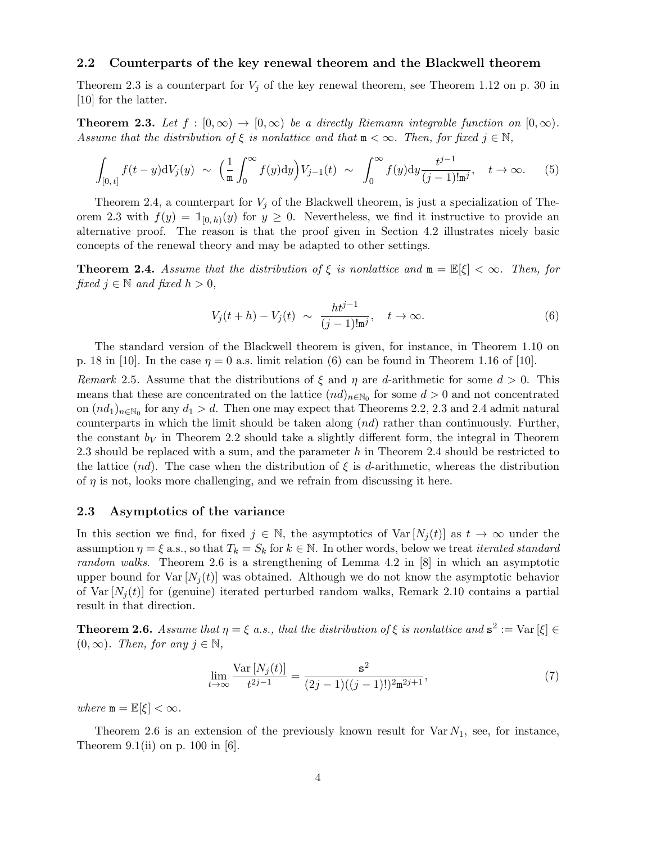### 2.2 Counterparts of the key renewal theorem and the Blackwell theorem

Theorem 2.3 is a counterpart for  $V_j$  of the key renewal theorem, see Theorem 1.12 on p. 30 in [10] for the latter.

**Theorem 2.3.** Let  $f : [0, \infty) \to [0, \infty)$  be a directly Riemann integrable function on  $[0, \infty)$ . Assume that the distribution of  $\xi$  is nonlattice and that  $m < \infty$ . Then, for fixed  $j \in \mathbb{N}$ ,

$$
\int_{[0,t]} f(t-y) dV_j(y) \sim \left(\frac{1}{m} \int_0^{\infty} f(y) dy\right) V_{j-1}(t) \sim \int_0^{\infty} f(y) dy \frac{t^{j-1}}{(j-1)! m^j}, \quad t \to \infty.
$$
 (5)

Theorem 2.4, a counterpart for  $V_i$  of the Blackwell theorem, is just a specialization of Theorem 2.3 with  $f(y) = \mathbb{1}_{[0,h]}(y)$  for  $y \ge 0$ . Nevertheless, we find it instructive to provide an alternative proof. The reason is that the proof given in Section 4.2 illustrates nicely basic concepts of the renewal theory and may be adapted to other settings.

**Theorem 2.4.** Assume that the distribution of  $\xi$  is nonlattice and  $\mathbf{m} = \mathbb{E}[\xi] < \infty$ . Then, for fixed  $j \in \mathbb{N}$  and fixed  $h > 0$ ,

$$
V_j(t+h) - V_j(t) \sim \frac{ht^{j-1}}{(j-1)!\mathbf{m}^j}, \quad t \to \infty.
$$
 (6)

The standard version of the Blackwell theorem is given, for instance, in Theorem 1.10 on p. 18 in [10]. In the case  $\eta = 0$  a.s. limit relation (6) can be found in Theorem 1.16 of [10].

Remark 2.5. Assume that the distributions of  $\xi$  and  $\eta$  are d-arithmetic for some  $d > 0$ . This means that these are concentrated on the lattice  $(nd)_{n \in \mathbb{N}_0}$  for some  $d > 0$  and not concentrated on  $(nd_1)_{n\in\mathbb{N}_0}$  for any  $d_1 > d$ . Then one may expect that Theorems 2.2, 2.3 and 2.4 admit natural counterparts in which the limit should be taken along  $(nd)$  rather than continuously. Further, the constant  $b_V$  in Theorem 2.2 should take a slightly different form, the integral in Theorem 2.3 should be replaced with a sum, and the parameter h in Theorem 2.4 should be restricted to the lattice  $(nd)$ . The case when the distribution of  $\xi$  is d-arithmetic, whereas the distribution of  $\eta$  is not, looks more challenging, and we refrain from discussing it here.

#### 2.3 Asymptotics of the variance

In this section we find, for fixed  $j \in \mathbb{N}$ , the asymptotics of  $Var[N_i(t)]$  as  $t \to \infty$  under the assumption  $\eta = \xi$  a.s., so that  $T_k = S_k$  for  $k \in \mathbb{N}$ . In other words, below we treat *iterated standard* random walks. Theorem 2.6 is a strengthening of Lemma 4.2 in [8] in which an asymptotic upper bound for  $\text{Var}[N_i(t)]$  was obtained. Although we do not know the asymptotic behavior of Var  $[N_i(t)]$  for (genuine) iterated perturbed random walks, Remark 2.10 contains a partial result in that direction.

**Theorem 2.6.** Assume that  $\eta = \xi$  a.s., that the distribution of  $\xi$  is nonlattice and  $s^2 := \text{Var}[\xi] \in$  $(0, \infty)$ . Then, for any  $j \in \mathbb{N}$ ,

$$
\lim_{t \to \infty} \frac{\text{Var}\left[N_j(t)\right]}{t^{2j-1}} = \frac{s^2}{(2j-1)((j-1)!)^2 \mathfrak{m}^{2j+1}},\tag{7}
$$

where  $m = \mathbb{E}[\xi] < \infty$ .

Theorem 2.6 is an extension of the previously known result for  $\text{Var } N_1$ , see, for instance, Theorem 9.1(ii) on p. 100 in [6].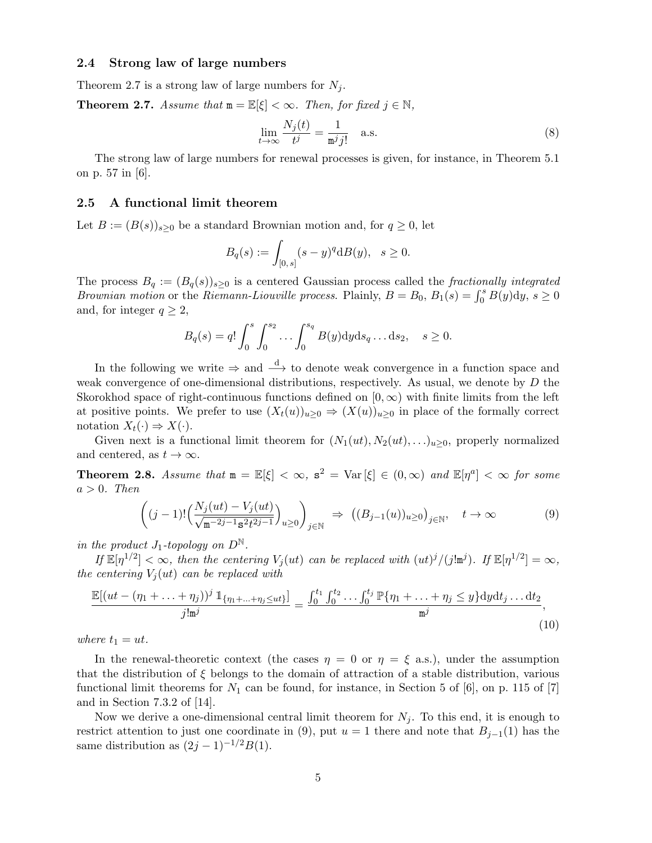### 2.4 Strong law of large numbers

Theorem 2.7 is a strong law of large numbers for  $N_j$ .

**Theorem 2.7.** Assume that  $m = \mathbb{E}[\xi] < \infty$ . Then, for fixed  $j \in \mathbb{N}$ ,

$$
\lim_{t \to \infty} \frac{N_j(t)}{t^j} = \frac{1}{m^j j!} \quad \text{a.s.} \tag{8}
$$

The strong law of large numbers for renewal processes is given, for instance, in Theorem 5.1 on p. 57 in [6].

### 2.5 A functional limit theorem

Let  $B := (B(s))_{s \geq 0}$  be a standard Brownian motion and, for  $q \geq 0$ , let

$$
B_q(s) := \int_{[0,s]} (s-y)^q \mathrm{d}B(y), \quad s \ge 0.
$$

The process  $B_q := (B_q(s))_{s>0}$  is a centered Gaussian process called the fractionally integrated *Brownian motion* or the *Riemann-Liouville process.* Plainly,  $B = B_0$ ,  $B_1(s) = \int_0^s B(y) dy$ ,  $s \ge 0$ and, for integer  $q \geq 2$ ,

$$
B_q(s) = q! \int_0^s \int_0^{s_2} \dots \int_0^{s_q} B(y) dy ds_q \dots ds_2, \quad s \ge 0.
$$

In the following we write  $\Rightarrow$  and  $\stackrel{d}{\longrightarrow}$  to denote weak convergence in a function space and weak convergence of one-dimensional distributions, respectively. As usual, we denote by D the Skorokhod space of right-continuous functions defined on  $[0, \infty)$  with finite limits from the left at positive points. We prefer to use  $(X_t(u))_{u\geq 0} \Rightarrow (X(u))_{u\geq 0}$  in place of the formally correct notation  $X_t(\cdot) \Rightarrow X(\cdot)$ .

Given next is a functional limit theorem for  $(N_1(ut), N_2(ut), \ldots)_{u \geq 0}$ , properly normalized and centered, as  $t \to \infty$ .

**Theorem 2.8.** Assume that  $m = \mathbb{E}[\xi] < \infty$ ,  $s^2 = \text{Var}[\xi] \in (0, \infty)$  and  $\mathbb{E}[\eta^a] < \infty$  for some  $a > 0$ . Then

$$
\left( (j-1)! \left( \frac{N_j(ut) - V_j(ut)}{\sqrt{\mathfrak{m}^{-2j-1} \mathfrak{s}^2 t^{2j-1}}} \right)_{u \ge 0} \right)_{j \in \mathbb{N}} \Rightarrow \left( (B_{j-1}(u))_{u \ge 0} \right)_{j \in \mathbb{N}}, \quad t \to \infty
$$
\n(9)

in the product  $J_1$ -topology on  $D^{\mathbb{N}}$ .

If  $\mathbb{E}[\eta^{1/2}] < \infty$ , then the centering  $V_j(ut)$  can be replaced with  $(ut)^j/(j!m^j)$ . If  $\mathbb{E}[\eta^{1/2}] = \infty$ , the centering  $V_i(ut)$  can be replaced with

$$
\frac{\mathbb{E}[(ut - (\eta_1 + \dots + \eta_j))^j \mathbb{1}_{\{\eta_1 + \dots + \eta_j \le ut\}}]}{j! \mathfrak{m}^j} = \frac{\int_0^{t_1} \int_0^{t_2} \dots \int_0^{t_j} \mathbb{P}\{\eta_1 + \dots + \eta_j \le y\} \mathrm{d}y \mathrm{d}t_j \dots \mathrm{d}t_2}{\mathfrak{m}^j},\tag{10}
$$

where  $t_1 = ut$ .

In the renewal-theoretic context (the cases  $\eta = 0$  or  $\eta = \xi$  a.s.), under the assumption that the distribution of  $\xi$  belongs to the domain of attraction of a stable distribution, various functional limit theorems for  $N_1$  can be found, for instance, in Section 5 of [6], on p. 115 of [7] and in Section 7.3.2 of [14].

Now we derive a one-dimensional central limit theorem for  $N_j$ . To this end, it is enough to restrict attention to just one coordinate in (9), put  $u = 1$  there and note that  $B_{j-1}(1)$  has the same distribution as  $(2j-1)^{-1/2}B(1)$ .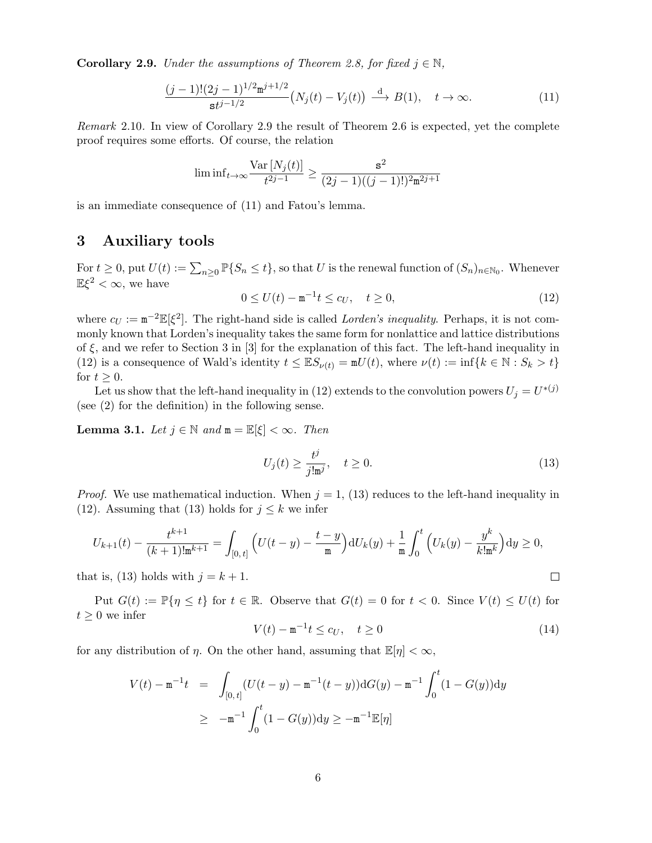**Corollary 2.9.** Under the assumptions of Theorem 2.8, for fixed  $j \in \mathbb{N}$ ,

$$
\frac{(j-1)!(2j-1)^{1/2}\mathbf{m}^{j+1/2}}{\mathbf{s}t^{j-1/2}}\left(N_j(t)-V_j(t)\right) \stackrel{\mathrm{d}}{\longrightarrow} B(1), \quad t \to \infty. \tag{11}
$$

Remark 2.10. In view of Corollary 2.9 the result of Theorem 2.6 is expected, yet the complete proof requires some efforts. Of course, the relation

$$
\liminf_{t \to \infty} \frac{\text{Var}\left[N_j(t)\right]}{t^{2j-1}} \ge \frac{s^2}{(2j-1)((j-1)!)^2 \mathbf{m}^{2j+1}}
$$

is an immediate consequence of (11) and Fatou's lemma.

# 3 Auxiliary tools

For  $t \geq 0$ , put  $U(t) := \sum_{n\geq 0} \mathbb{P}\{S_n \leq t\}$ , so that U is the renewal function of  $(S_n)_{n\in\mathbb{N}_0}$ . Whenever  $\mathbb{E}\xi^2 < \infty$ , we have

$$
0 \le U(t) - \mathbf{m}^{-1}t \le c_U, \quad t \ge 0,
$$
\n(12)

where  $c_U := m^{-2} \mathbb{E}[\xi^2]$ . The right-hand side is called *Lorden's inequality*. Perhaps, it is not commonly known that Lorden's inequality takes the same form for nonlattice and lattice distributions of  $\xi$ , and we refer to Section 3 in [3] for the explanation of this fact. The left-hand inequality in (12) is a consequence of Wald's identity  $t \leq \mathbb{E}S_{\nu(t)} = \mathfrak{m}U(t)$ , where  $\nu(t) := \inf\{k \in \mathbb{N} : S_k > t\}$ for  $t \geq 0$ .

Let us show that the left-hand inequality in (12) extends to the convolution powers  $U_j = U^{*(j)}$ (see (2) for the definition) in the following sense.

**Lemma 3.1.** Let  $j \in \mathbb{N}$  and  $m = \mathbb{E}[\xi] < \infty$ . Then

$$
U_j(t) \ge \frac{t^j}{j! \mathfrak{m}^j}, \quad t \ge 0. \tag{13}
$$

*Proof.* We use mathematical induction. When  $j = 1$ , (13) reduces to the left-hand inequality in (12). Assuming that (13) holds for  $j \leq k$  we infer

$$
U_{k+1}(t) - \frac{t^{k+1}}{(k+1)\ln^{k+1}} = \int_{[0,t]} \left( U(t-y) - \frac{t-y}{m} \right) dU_k(y) + \frac{1}{m} \int_0^t \left( U_k(y) - \frac{y^k}{k!m^k} \right) dy \ge 0,
$$
  
at is, (13) holds with  $j = k+1$ .

that is, (13) holds with  $j = k + 1$ .

Put  $G(t) := \mathbb{P}{\lbrace \eta \leq t \rbrace}$  for  $t \in \mathbb{R}$ . Observe that  $G(t) = 0$  for  $t < 0$ . Since  $V(t) \leq U(t)$  for  $t \geq 0$  we infer

$$
V(t) - \mathbf{m}^{-1}t \le c_U, \quad t \ge 0
$$
\n(14)

for any distribution of  $\eta$ . On the other hand, assuming that  $\mathbb{E}[\eta] < \infty$ ,

$$
V(t) - \mathbf{m}^{-1}t = \int_{[0,t]} (U(t-y) - \mathbf{m}^{-1}(t-y)) \mathrm{d}G(y) - \mathbf{m}^{-1} \int_0^t (1 - G(y)) \mathrm{d}y
$$
  
 
$$
\geq -\mathbf{m}^{-1} \int_0^t (1 - G(y)) \mathrm{d}y \geq -\mathbf{m}^{-1} \mathbb{E}[\eta]
$$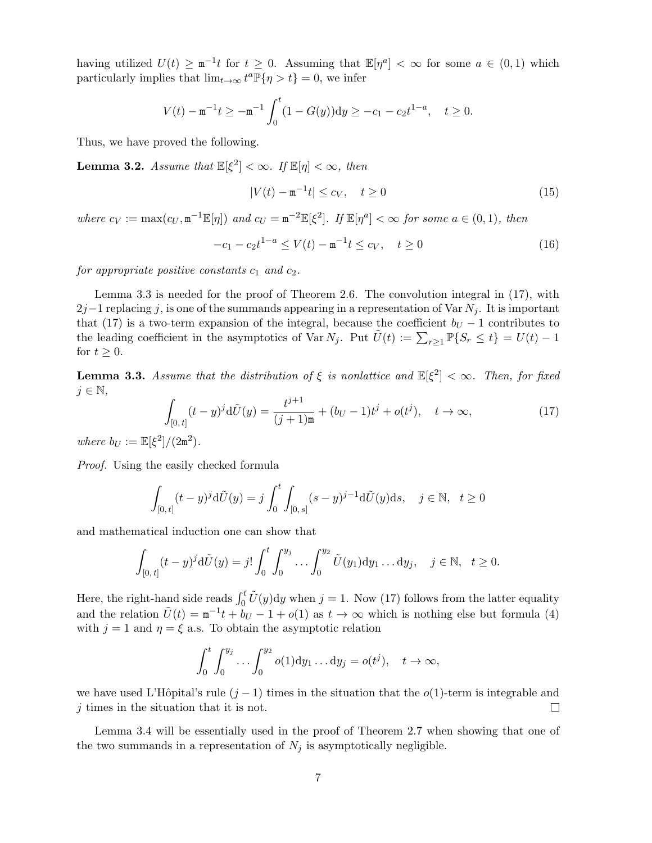having utilized  $U(t) \geq m^{-1}t$  for  $t \geq 0$ . Assuming that  $\mathbb{E}[\eta^a] < \infty$  for some  $a \in (0,1)$  which particularly implies that  $\lim_{t\to\infty} t^a \mathbb{P}\{\eta > t\} = 0$ , we infer

$$
V(t) - \mathbf{m}^{-1}t \ge -\mathbf{m}^{-1} \int_0^t (1 - G(y)) dy \ge -c_1 - c_2 t^{1-a}, \quad t \ge 0.
$$

Thus, we have proved the following.

**Lemma 3.2.** Assume that  $\mathbb{E}[\xi^2] < \infty$ . If  $\mathbb{E}[\eta] < \infty$ , then

$$
|V(t) - \mathbf{m}^{-1}t| \le c_V, \quad t \ge 0
$$
\n(15)

where  $c_V := \max(c_U, \mathbf{m}^{-1} \mathbb{E}[\eta])$  and  $c_U = \mathbf{m}^{-2} \mathbb{E}[\xi^2]$ . If  $\mathbb{E}[\eta^a] < \infty$  for some  $a \in (0,1)$ , then

$$
-c_1 - c_2 t^{1-a} \le V(t) - \mathbf{m}^{-1} t \le c_V, \quad t \ge 0
$$
\n(16)

for appropriate positive constants  $c_1$  and  $c_2$ .

Lemma 3.3 is needed for the proof of Theorem 2.6. The convolution integral in (17), with  $2j-1$  replacing j, is one of the summands appearing in a representation of Var  $N_i$ . It is important that (17) is a two-term expansion of the integral, because the coefficient  $b_U - 1$  contributes to the leading coefficient in the asymptotics of Var  $N_j$ . Put  $\tilde{U}(t) := \sum_{r \geq 1} \mathbb{P}\{S_r \leq t\} = U(t) - 1$ for  $t \geq 0$ .

**Lemma 3.3.** Assume that the distribution of  $\xi$  is nonlattice and  $\mathbb{E}[\xi^2] < \infty$ . Then, for fixed  $j \in \mathbb{N},$ 

$$
\int_{[0,t]} (t-y)^j \mathrm{d}\tilde{U}(y) = \frac{t^{j+1}}{(j+1)\mathfrak{m}} + (b_U - 1)t^j + o(t^j), \quad t \to \infty,
$$
\n(17)

where  $b_U := \mathbb{E}[\xi^2]/(2m^2)$ .

Proof. Using the easily checked formula

$$
\int_{[0,t]} (t-y)^j \mathrm{d}\tilde{U}(y) = j \int_0^t \int_{[0,s]} (s-y)^{j-1} \mathrm{d}\tilde{U}(y) \mathrm{d}s, \quad j \in \mathbb{N}, \ \ t \ge 0
$$

and mathematical induction one can show that

$$
\int_{[0,t]} (t-y)^j \mathrm{d}\tilde{U}(y) = j! \int_0^t \int_0^{y_j} \dots \int_0^{y_2} \tilde{U}(y_1) \mathrm{d}y_1 \dots \mathrm{d}y_j, \quad j \in \mathbb{N}, \ \ t \ge 0.
$$

Here, the right-hand side reads  $\int_0^t \tilde{U}(y) dy$  when  $j = 1$ . Now (17) follows from the latter equality and the relation  $\tilde{U}(t) = m^{-1}t + b_U - 1 + o(1)$  as  $t \to \infty$  which is nothing else but formula (4) with  $j = 1$  and  $\eta = \xi$  a.s. To obtain the asymptotic relation

$$
\int_0^t \int_0^{y_j} \dots \int_0^{y_2} o(1) dy_1 \dots dy_j = o(t^j), \quad t \to \infty,
$$

we have used L'Hôpital's rule  $(j-1)$  times in the situation that the  $o(1)$ -term is integrable and j times in the situation that it is not.  $\Box$ 

Lemma 3.4 will be essentially used in the proof of Theorem 2.7 when showing that one of the two summands in a representation of  $N_j$  is asymptotically negligible.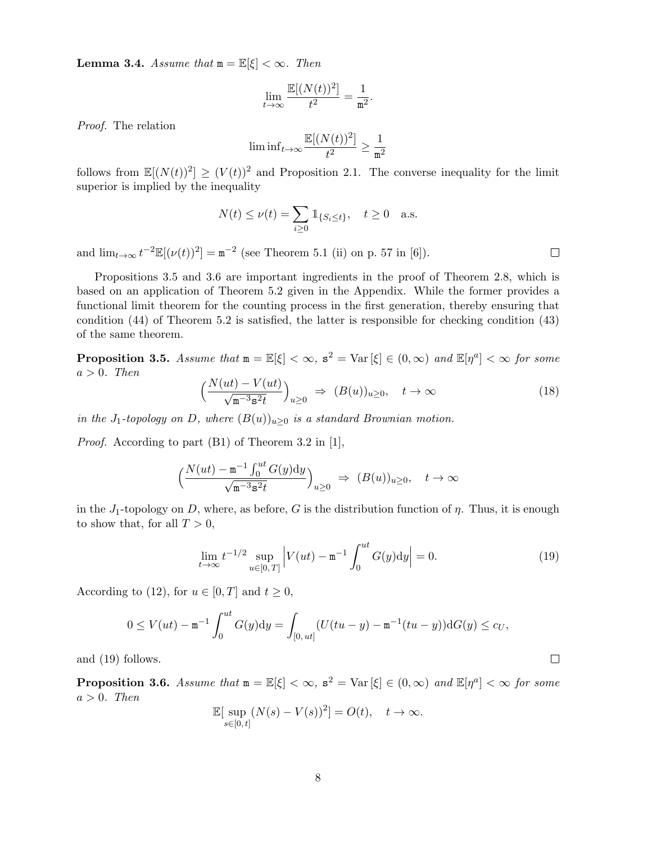**Lemma 3.4.** Assume that  $m = \mathbb{E}[\xi] < \infty$ . Then

$$
\lim_{t \to \infty} \frac{\mathbb{E}[(N(t))^2]}{t^2} = \frac{1}{m^2}.
$$

Proof. The relation

$$
\liminf_{t\to\infty} \frac{\mathbb{E}[(N(t))^2]}{t^2} \geq \frac{1}{\mathtt{m}^2}
$$

follows from  $\mathbb{E}[(N(t))^2] \geq (V(t))^2$  and Proposition 2.1. The converse inequality for the limit superior is implied by the inequality

$$
N(t) \le \nu(t) = \sum_{i \ge 0} \mathbb{1}_{\{S_i \le t\}}, \quad t \ge 0 \quad \text{a.s.}
$$

and  $\lim_{t\to\infty} t^{-2} \mathbb{E}[(\nu(t))^2] = \mathbf{m}^{-2}$  (see Theorem 5.1 (ii) on p. 57 in [6]).

Propositions 3.5 and 3.6 are important ingredients in the proof of Theorem 2.8, which is based on an application of Theorem 5.2 given in the Appendix. While the former provides a functional limit theorem for the counting process in the first generation, thereby ensuring that condition (44) of Theorem 5.2 is satisfied, the latter is responsible for checking condition (43) of the same theorem.

**Proposition 3.5.** Assume that  $m = \mathbb{E}[\xi] < \infty$ ,  $s^2 = \text{Var}[\xi] \in (0, \infty)$  and  $\mathbb{E}[\eta^a] < \infty$  for some  $a > 0$ . Then  $\sqrt{u}$  (ut)  $\sqrt{u}$ 

$$
\left(\frac{N(ut) - V(ut)}{\sqrt{\mathfrak{m}^{-3} \mathfrak{s}^2 t}}\right)_{u \ge 0} \Rightarrow (B(u))_{u \ge 0}, \quad t \to \infty
$$
\n(18)

in the J<sub>1</sub>-topology on D, where  $(B(u))_{u\geq 0}$  is a standard Brownian motion.

Proof. According to part (B1) of Theorem 3.2 in [1],

$$
\Big(\frac{N(ut)-{\mathtt{m}}^{-1}\int_0^{ut}G(y)\mathrm{d}y}{\sqrt{{\mathtt{m}}^{-3}\mathbf{s}^2t}}\Big)_{u\geq 0}\ \Rightarrow\ (B(u))_{u\geq 0},\quad t\to\infty
$$

in the  $J_1$ -topology on D, where, as before, G is the distribution function of  $\eta$ . Thus, it is enough to show that, for all  $T > 0$ ,

$$
\lim_{t \to \infty} t^{-1/2} \sup_{u \in [0, T]} \left| V(ut) - \mathbf{m}^{-1} \int_0^{ut} G(y) dy \right| = 0.
$$
 (19)

According to (12), for  $u \in [0, T]$  and  $t \geq 0$ ,

$$
0 \le V(ut) - \mathbf{m}^{-1} \int_0^{ut} G(y) dy = \int_{[0,ut]} (U(tu - y) - \mathbf{m}^{-1}(tu - y)) dG(y) \le c_U,
$$

and (19) follows.

**Proposition 3.6.** Assume that  $m = \mathbb{E}[\xi] < \infty$ ,  $s^2 = \text{Var}[\xi] \in (0, \infty)$  and  $\mathbb{E}[\eta^a] < \infty$  for some  $a > 0$ . Then

$$
\mathbb{E}[\sup_{s\in[0,t]} (N(s) - V(s))^2] = O(t), \quad t \to \infty.
$$

 $\Box$ 

 $\Box$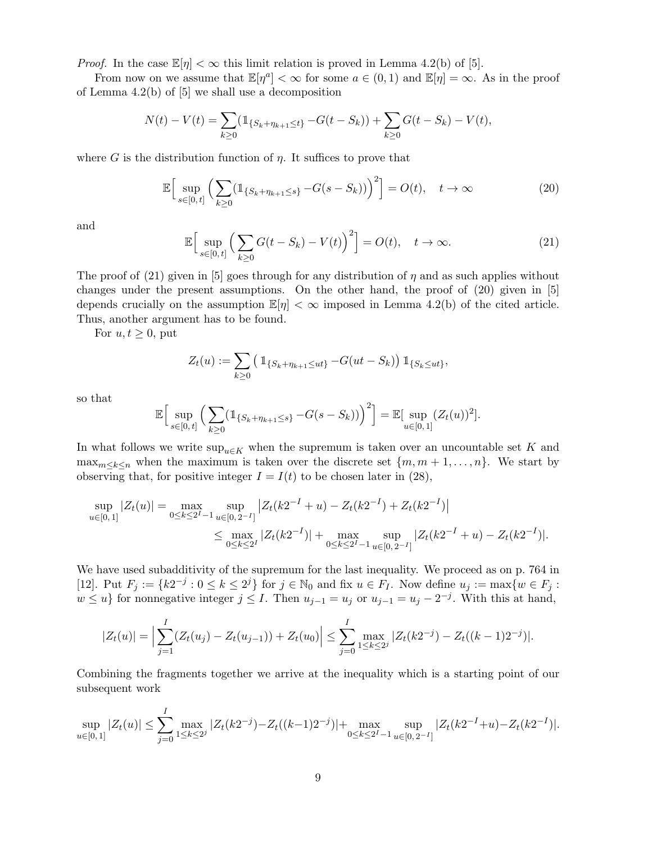*Proof.* In the case  $\mathbb{E}[\eta] < \infty$  this limit relation is proved in Lemma 4.2(b) of [5].

From now on we assume that  $\mathbb{E}[\eta^a]<\infty$  for some  $a\in(0,1)$  and  $\mathbb{E}[\eta]=\infty$ . As in the proof of Lemma 4.2(b) of [5] we shall use a decomposition

$$
N(t) - V(t) = \sum_{k \ge 0} (\mathbb{1}_{\{S_k + \eta_{k+1} \le t\}} - G(t - S_k)) + \sum_{k \ge 0} G(t - S_k) - V(t),
$$

where G is the distribution function of  $\eta$ . It suffices to prove that

$$
\mathbb{E}\Big[\sup_{s\in[0,t]}\Big(\sum_{k\geq 0}(\mathbb{1}_{\{S_k+\eta_{k+1}\leq s\}}-G(s-S_k))\Big)^2\Big]=O(t),\quad t\to\infty\tag{20}
$$

and

$$
\mathbb{E}\Big[\sup_{s\in[0,\,t]}\Big(\sum_{k\geq 0}G(t-S_k)-V(t)\Big)^2\Big]=O(t),\quad t\to\infty.\tag{21}
$$

The proof of (21) given in [5] goes through for any distribution of  $\eta$  and as such applies without changes under the present assumptions. On the other hand, the proof of (20) given in [5] depends crucially on the assumption  $\mathbb{E}[\eta] < \infty$  imposed in Lemma 4.2(b) of the cited article. Thus, another argument has to be found.

For  $u, t \geq 0$ , put

$$
Z_t(u) := \sum_{k \geq 0} \left( \mathbb{1}_{\{S_k + \eta_{k+1} \leq ut\}} - G(ut - S_k) \right) \mathbb{1}_{\{S_k \leq ut\}},
$$

so that

$$
\mathbb{E}\Big[\sup_{s\in[0,\,t]}\Big(\sum_{k\geq 0}(\mathbb{1}_{\{S_k+\eta_{k+1}\leq s\}}-G(s-S_k))\Big)^2\Big] = \mathbb{E}[\sup_{u\in[0,\,1]}(Z_t(u))^2].
$$

In what follows we write  $\sup_{u \in K}$  when the supremum is taken over an uncountable set K and max<sub>m $\lt k\lt n$ </sub> when the maximum is taken over the discrete set  $\{m, m+1, \ldots, n\}$ . We start by observing that, for positive integer  $I = I(t)$  to be chosen later in (28),

$$
\sup_{u \in [0,1]} |Z_t(u)| = \max_{0 \le k \le 2^I - 1} \sup_{u \in [0,2^{-I}]} |Z_t(k2^{-I} + u) - Z_t(k2^{-I}) + Z_t(k2^{-I})|
$$
  

$$
\le \max_{0 \le k \le 2^I} |Z_t(k2^{-I})| + \max_{0 \le k \le 2^I - 1} \sup_{u \in [0,2^{-I}]} |Z_t(k2^{-I} + u) - Z_t(k2^{-I})|.
$$

We have used subadditivity of the supremum for the last inequality. We proceed as on p. 764 in [12]. Put  $F_j := \{k2^{-j} : 0 \le k \le 2^j\}$  for  $j \in \mathbb{N}_0$  and fix  $u \in F_I$ . Now define  $u_j := \max\{w \in F_j : 0 \le k \le 2^j\}$  $w \leq u$  for nonnegative integer  $j \leq I$ . Then  $u_{j-1} = u_j$  or  $u_{j-1} = u_j - 2^{-j}$ . With this at hand,

$$
|Z_t(u)| = \Big|\sum_{j=1}^I (Z_t(u_j) - Z_t(u_{j-1})) + Z_t(u_0)\Big| \le \sum_{j=0}^I \max_{1 \le k \le 2^j} |Z_t(k2^{-j}) - Z_t((k-1)2^{-j})|.
$$

Combining the fragments together we arrive at the inequality which is a starting point of our subsequent work

$$
\sup_{u \in [0,1]} |Z_t(u)| \le \sum_{j=0}^I \max_{1 \le k \le 2^j} |Z_t(k2^{-j}) - Z_t((k-1)2^{-j})| + \max_{0 \le k \le 2^I - 1} \sup_{u \in [0,2^{-I}]} |Z_t(k2^{-I} + u) - Z_t(k2^{-I})|.
$$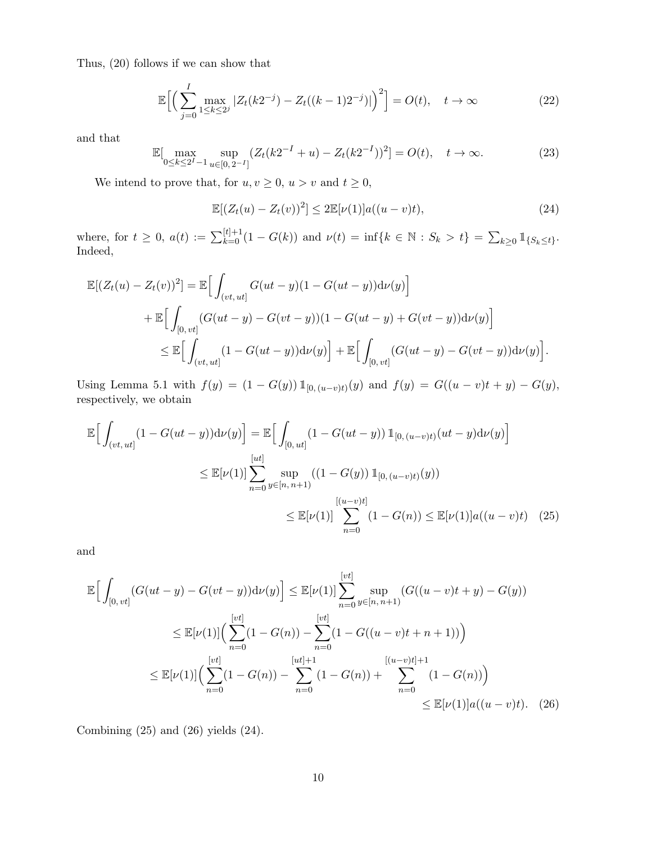Thus, (20) follows if we can show that

$$
\mathbb{E}\Big[\Big(\sum_{j=0}^{I} \max_{1 \le k \le 2^{j}} |Z_{t}(k2^{-j}) - Z_{t}((k-1)2^{-j})|\Big)^{2}\Big] = O(t), \quad t \to \infty
$$
\n(22)

and that

$$
\mathbb{E}[\max_{0 \le k \le 2^I - 1} \sup_{u \in [0, 2^{-I}]} (Z_t (k2^{-I} + u) - Z_t (k2^{-I}))^2] = O(t), \quad t \to \infty.
$$
 (23)

We intend to prove that, for  $u,v\geq 0,\,u>v$  and  $t\geq 0,$ 

$$
\mathbb{E}[(Z_t(u) - Z_t(v))^2] \le 2\mathbb{E}[\nu(1)]a((u - v)t),
$$
\n(24)

where, for  $t \geq 0$ ,  $a(t) := \sum_{k=0}^{\lfloor t \rfloor + 1} (1 - G(k))$  and  $\nu(t) = \inf\{k \in \mathbb{N} : S_k > t\} = \sum_{k \geq 0} \mathbb{1}_{\{S_k \leq t\}}$ . Indeed,

$$
\mathbb{E}[(Z_t(u) - Z_t(v))^2] = \mathbb{E}\Big[\int_{(vt, ut]} G(ut - y)(1 - G(ut - y))\mathrm{d}\nu(y)\Big] \n+ \mathbb{E}\Big[\int_{[0, vt]} (G(ut - y) - G(vt - y))(1 - G(ut - y) + G(vt - y))\mathrm{d}\nu(y)\Big] \n\leq \mathbb{E}\Big[\int_{(vt, ut]} (1 - G(ut - y))\mathrm{d}\nu(y)\Big] + \mathbb{E}\Big[\int_{[0, vt]} (G(ut - y) - G(vt - y))\mathrm{d}\nu(y)\Big].
$$

Using Lemma 5.1 with  $f(y) = (1 - G(y)) 1\!\mathbb{I}_{[0,(u-v)t)}(y)$  and  $f(y) = G((u-v)t + y) - G(y)$ , respectively, we obtain

$$
\mathbb{E}\Big[\int_{(vt, ut]} (1 - G(ut - y))\mathrm{d}\nu(y)\Big] = \mathbb{E}\Big[\int_{[0, ut]} (1 - G(ut - y)) \mathbb{1}_{[0, (u-v)t)}(ut - y)\mathrm{d}\nu(y)\Big]
$$
  

$$
\leq \mathbb{E}[\nu(1)] \sum_{n=0}^{[ut]} \sup_{y \in [n, n+1)} ((1 - G(y)) \mathbb{1}_{[0, (u-v)t)}(y))
$$
  

$$
\leq \mathbb{E}[\nu(1)] \sum_{n=0}^{[(u-v)t]} (1 - G(n)) \leq \mathbb{E}[\nu(1)] a((u-v)t) \quad (25)
$$

and

$$
\mathbb{E}\Big[\int_{[0, vt]} (G(ut - y) - G(vt - y))\mathrm{d}\nu(y)\Big] \leq \mathbb{E}[\nu(1)] \sum_{n=0}^{[vt]} \sup_{y \in [n, n+1)} (G((u - v)t + y) - G(y))
$$
  

$$
\leq \mathbb{E}[\nu(1)] \Big(\sum_{n=0}^{[vt]} (1 - G(n)) - \sum_{n=0}^{[vt]} (1 - G((u - v)t + n + 1))\Big)
$$
  

$$
\leq \mathbb{E}[\nu(1)] \Big(\sum_{n=0}^{[vt]} (1 - G(n)) - \sum_{n=0}^{[ut]+1} (1 - G(n)) + \sum_{n=0}^{[(u-v)t]+1} (1 - G(n))\Big)
$$
  

$$
\leq \mathbb{E}[\nu(1)] a((u - v)t). \quad (26)
$$

Combining  $(25)$  and  $(26)$  yields  $(24)$ .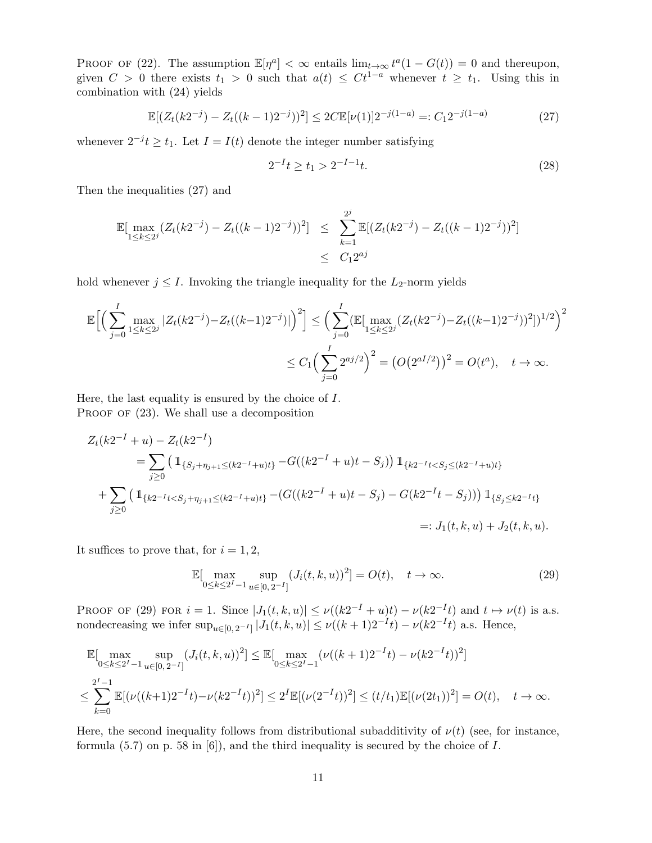PROOF OF (22). The assumption  $\mathbb{E}[\eta^a]<\infty$  entails  $\lim_{t\to\infty}t^a(1-G(t))=0$  and thereupon, given  $C > 0$  there exists  $t_1 > 0$  such that  $a(t) \leq Ct^{1-a}$  whenever  $t \geq t_1$ . Using this in combination with (24) yields

$$
\mathbb{E}[(Z_t(k2^{-j}) - Z_t((k-1)2^{-j}))^2] \le 2C \mathbb{E}[\nu(1)]2^{-j(1-a)} =: C_1 2^{-j(1-a)} \tag{27}
$$

whenever  $2^{-j}t \geq t_1$ . Let  $I = I(t)$  denote the integer number satisfying

$$
2^{-I}t \ge t_1 > 2^{-I-1}t. \tag{28}
$$

Then the inequalities (27) and

$$
\mathbb{E}[\max_{1 \leq k \leq 2^{j}} (Z_{t}(k2^{-j}) - Z_{t}((k-1)2^{-j}))^{2}] \leq \sum_{k=1}^{2^{j}} \mathbb{E}[(Z_{t}(k2^{-j}) - Z_{t}((k-1)2^{-j}))^{2}]
$$
  

$$
\leq C_{1}2^{aj}
$$

hold whenever  $j \leq I$ . Invoking the triangle inequality for the  $L_2$ -norm yields

$$
\mathbb{E}\Big[\Big(\sum_{j=0}^{I} \max_{1 \leq k \leq 2^{j}} |Z_{t}(k2^{-j}) - Z_{t}((k-1)2^{-j})|\Big)^{2}\Big] \leq \Big(\sum_{j=0}^{I} (\mathbb{E}[\max_{1 \leq k \leq 2^{j}} (Z_{t}(k2^{-j}) - Z_{t}((k-1)2^{-j}))^{2}])^{1/2}\Big)^{2}
$$
  

$$
\leq C_{1} \Big(\sum_{j=0}^{I} 2^{aj/2}\Big)^{2} = \big(O(2^{aI/2})\big)^{2} = O(t^{a}), \quad t \to \infty.
$$

Here, the last equality is ensured by the choice of I. PROOF OF  $(23)$ . We shall use a decomposition

$$
Z_t(k2^{-I} + u) - Z_t(k2^{-I})
$$
  
=  $\sum_{j\geq 0} \left( \mathbb{1}_{\{S_j + \eta_{j+1} \leq (k2^{-I} + u)t\}} - G((k2^{-I} + u)t - S_j) \right) \mathbb{1}_{\{k2^{-I}t < S_j \leq (k2^{-I} + u)t\}}$   
+  $\sum_{j\geq 0} \left( \mathbb{1}_{\{k2^{-I}t < S_j + \eta_{j+1} \leq (k2^{-I} + u)t\}} - (G((k2^{-I} + u)t - S_j) - G(k2^{-I}t - S_j)) \right) \mathbb{1}_{\{S_j \leq k2^{-I}t\}}$   
=:  $J_1(t, k, u) + J_2(t, k, u)$ .

It suffices to prove that, for  $i = 1, 2$ ,

$$
\mathbb{E}[\max_{0 \le k \le 2^I - 1} \sup_{u \in [0, 2^{-I}]} (J_i(t, k, u))^2] = O(t), \quad t \to \infty.
$$
 (29)

PROOF OF (29) FOR  $i = 1$ . Since  $|J_1(t, k, u)| \le \nu((k2^{-1} + u)t) - \nu(k2^{-1}t)$  and  $t \mapsto \nu(t)$  is a.s. nondecreasing we infer  $\sup_{u \in [0, 2^{-I}]} |J_1(t, k, u)| \le \nu((k+1)2^{-I}t) - \nu(k2^{-I}t)$  a.s. Hence,

$$
\mathbb{E}[\max_{0 \le k \le 2^I - 1} \sup_{u \in [0, 2^{-I}]} (J_i(t, k, u))^2] \le \mathbb{E}[\max_{0 \le k \le 2^I - 1} (\nu((k+1)2^{-I}t) - \nu(k2^{-I}t))^2]
$$
\n
$$
\le \sum_{k=0}^{2^I - 1} \mathbb{E}[(\nu((k+1)2^{-I}t) - \nu(k2^{-I}t))^2] \le 2^I \mathbb{E}[(\nu(2^{-I}t))^2] \le (t/t_1) \mathbb{E}[(\nu(2t_1))^2] = O(t), \quad t \to \infty.
$$

Here, the second inequality follows from distributional subadditivity of  $\nu(t)$  (see, for instance, formula  $(5.7)$  on p. 58 in  $[6]$ , and the third inequality is secured by the choice of I.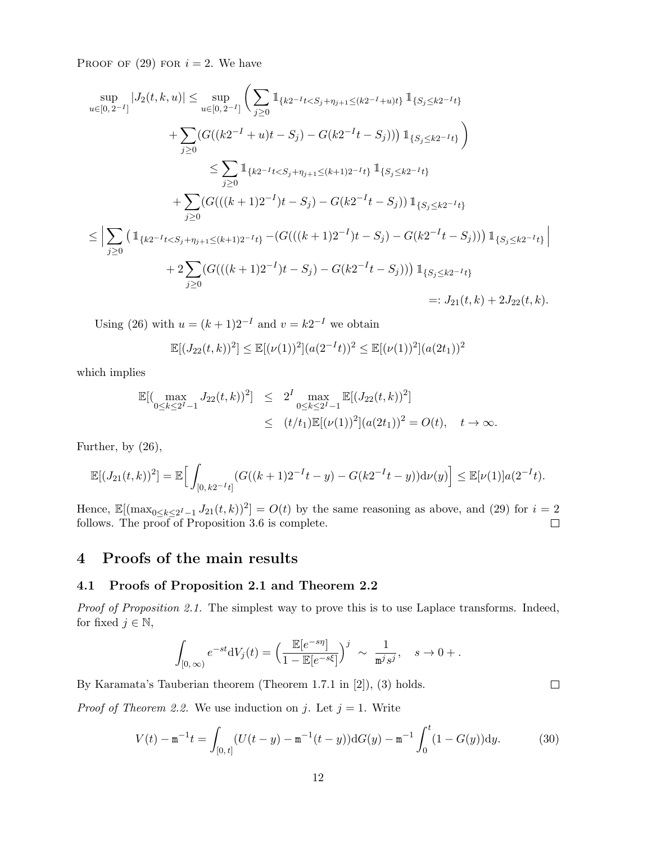PROOF OF  $(29)$  FOR  $i = 2$ . We have

$$
\sup_{u \in [0,2^{-I}]} |J_2(t,k,u)| \leq \sup_{u \in [0,2^{-I}]} \left( \sum_{j\geq 0} \mathbbm{1}_{\{k2^{-I}t < S_j + \eta_{j+1} \leq (k2^{-I}+u)t\}} \mathbbm{1}_{\{S_j \leq k2^{-I}t\}} \right)
$$
\n
$$
+ \sum_{j\geq 0} (G((k2^{-I}+u)t - S_j) - G(k2^{-I}t - S_j))) \mathbbm{1}_{\{S_j \leq k2^{-I}t\}} \right)
$$
\n
$$
\leq \sum_{j\geq 0} \mathbbm{1}_{\{k2^{-I}t < S_j + \eta_{j+1} \leq (k+1)2^{-I}t\}} \mathbbm{1}_{\{S_j \leq k2^{-I}t\}} \left( \sum_{j\geq 0} (G(((k+1)2^{-I})t - S_j) - G(k2^{-I}t - S_j)) \mathbbm{1}_{\{S_j \leq k2^{-I}t\}} \right)
$$
\n
$$
\leq \left| \sum_{j\geq 0} \left( \mathbbm{1}_{\{k2^{-I}t < S_j + \eta_{j+1} \leq (k+1)2^{-I}t\}} - (G(((k+1)2^{-I})t - S_j) - G(k2^{-I}t - S_j)) \right) \mathbbm{1}_{\{S_j \leq k2^{-I}t\}} \right|
$$
\n
$$
+ 2 \sum_{j\geq 0} (G(((k+1)2^{-I})t - S_j) - G(k2^{-I}t - S_j))) \mathbbm{1}_{\{S_j \leq k2^{-I}t\}} \left( \sum_{j\geq 0} (J((k+1)2^{-I})t - S_j) - J((k2^{-I}t - S_j)) \right) \mathbbm{1}_{\{S_j \leq k2^{-I}t\}} \right)
$$
\n
$$
=: J_{21}(t, k) + 2J_{22}(t, k).
$$

Using (26) with  $u = (k+1)2^{-1}$  and  $v = k2^{-1}$  we obtain

$$
\mathbb{E}[(J_{22}(t,k))^2] \le \mathbb{E}[(\nu(1))^2](a(2^{-1}t))^2 \le \mathbb{E}[(\nu(1))^2](a(2t_1))^2
$$

which implies

$$
\mathbb{E}[(\max_{0\leq k\leq 2^{I}-1}J_{22}(t,k))^{2}] \leq 2^{I} \max_{0\leq k\leq 2^{I}-1} \mathbb{E}[(J_{22}(t,k))^{2}]
$$
  
 
$$
\leq (t/t_{1})\mathbb{E}[(\nu(1))^{2}](a(2t_{1}))^{2} = O(t), \quad t \to \infty.
$$

Further, by (26),

$$
\mathbb{E}[(J_{21}(t,k))^2] = \mathbb{E}\Big[\int_{[0,k2^{-I}t]}(G((k+1)2^{-I}t-y) - G(k2^{-I}t-y))\mathrm{d}\nu(y)\Big] \leq \mathbb{E}[\nu(1)]a(2^{-I}t).
$$

Hence,  $\mathbb{E}[(\max_{0 \le k \le 2^I-1} J_{21}(t, k))^2] = O(t)$  by the same reasoning as above, and (29) for  $i = 2$ follows. The proof of Proposition 3.6 is complete.  $\Box$ 

# 4 Proofs of the main results

### 4.1 Proofs of Proposition 2.1 and Theorem 2.2

Proof of Proposition 2.1. The simplest way to prove this is to use Laplace transforms. Indeed, for fixed  $j \in \mathbb{N}$ ,

$$
\int_{[0,\,\infty)}e^{-st}\mathrm{d}V_j(t)=\Big(\frac{\mathbb{E}[e^{-s\eta}]}{1-\mathbb{E}[e^{-s\xi}]}\Big)^j \;\sim\; \frac{1}{\mathtt{m}^j s^j}, \quad s\to 0+.
$$

By Karamata's Tauberian theorem (Theorem 1.7.1 in [2]), (3) holds.

*Proof of Theorem 2.2.* We use induction on j. Let  $j = 1$ . Write

$$
V(t) - \mathbf{m}^{-1}t = \int_{[0,t]} (U(t-y) - \mathbf{m}^{-1}(t-y)) \mathrm{d}G(y) - \mathbf{m}^{-1} \int_0^t (1 - G(y)) \mathrm{d}y. \tag{30}
$$

 $\hfill \square$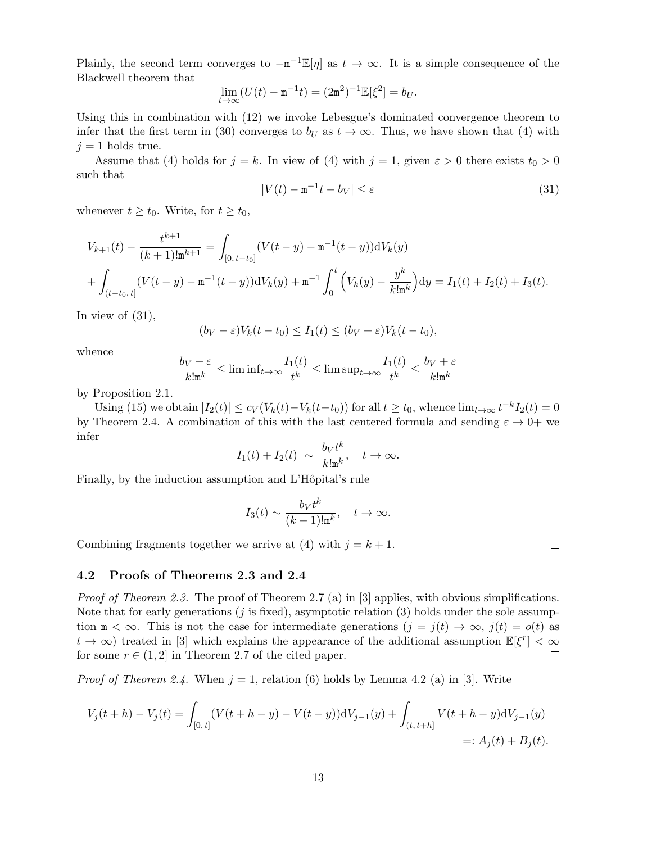Plainly, the second term converges to  $-\mathbf{m}^{-1}\mathbb{E}[\eta]$  as  $t \to \infty$ . It is a simple consequence of the Blackwell theorem that

$$
\lim_{t \to \infty} (U(t) - \mathbf{m}^{-1}t) = (2\mathbf{m}^2)^{-1} \mathbb{E}[\xi^2] = b_U.
$$

Using this in combination with (12) we invoke Lebesgue's dominated convergence theorem to infer that the first term in (30) converges to  $b_U$  as  $t \to \infty$ . Thus, we have shown that (4) with  $j = 1$  holds true.

Assume that (4) holds for  $j = k$ . In view of (4) with  $j = 1$ , given  $\varepsilon > 0$  there exists  $t_0 > 0$ such that

$$
|V(t) - \mathbf{m}^{-1}t - b_V| \le \varepsilon \tag{31}
$$

whenever  $t \geq t_0$ . Write, for  $t \geq t_0$ ,

$$
V_{k+1}(t) - \frac{t^{k+1}}{(k+1)!m^{k+1}} = \int_{[0, t-t_0]} (V(t-y) - m^{-1}(t-y))dV_k(y) + \int_{(t-t_0, t]} (V(t-y) - m^{-1}(t-y))dV_k(y) + m^{-1} \int_0^t (V_k(y) - \frac{y^k}{k!m^k})dy = I_1(t) + I_2(t) + I_3(t).
$$

In view of  $(31)$ ,

$$
(b_V - \varepsilon) V_k(t - t_0) \le I_1(t) \le (b_V + \varepsilon) V_k(t - t_0),
$$

whence

$$
\frac{b_V - \varepsilon}{k! \mathfrak{m}^k} \le \liminf_{t \to \infty} \frac{I_1(t)}{t^k} \le \limsup_{t \to \infty} \frac{I_1(t)}{t^k} \le \frac{b_V + \varepsilon}{k! \mathfrak{m}^k}
$$

by Proposition 2.1.

Using (15) we obtain  $|I_2(t)| \leq c_V(V_k(t) - V_k(t-t_0))$  for all  $t \geq t_0$ , whence  $\lim_{t \to \infty} t^{-k} I_2(t) = 0$ by Theorem 2.4. A combination of this with the last centered formula and sending  $\varepsilon \to 0^+$  we infer

$$
I_1(t) + I_2(t) \sim \frac{b_V t^k}{k! \mathbf{m}^k}, \quad t \to \infty.
$$

Finally, by the induction assumption and L'Hôpital's rule

$$
I_3(t) \sim \frac{b_V t^k}{(k-1)! \mathbf{m}^k}
$$
,  $t \to \infty$ .

Combining fragments together we arrive at (4) with  $j = k + 1$ .

 $\Box$ 

#### 4.2 Proofs of Theorems 2.3 and 2.4

*Proof of Theorem 2.3.* The proof of Theorem 2.7 (a) in [3] applies, with obvious simplifications. Note that for early generations (*j* is fixed), asymptotic relation (3) holds under the sole assumption  $m < \infty$ . This is not the case for intermediate generations  $(j = j(t) \rightarrow \infty, j(t) = o(t)$  as  $t \to \infty$ ) treated in [3] which explains the appearance of the additional assumption  $\mathbb{E}[\xi^r] < \infty$ for some  $r \in (1, 2]$  in Theorem 2.7 of the cited paper.  $\Box$ 

*Proof of Theorem 2.4.* When  $j = 1$ , relation (6) holds by Lemma 4.2 (a) in [3]. Write

$$
V_j(t+h) - V_j(t) = \int_{[0,t]} (V(t+h-y) - V(t-y))dV_{j-1}(y) + \int_{(t,t+h]} V(t+h-y)dV_{j-1}(y)
$$
  

$$
=: A_j(t) + B_j(t).
$$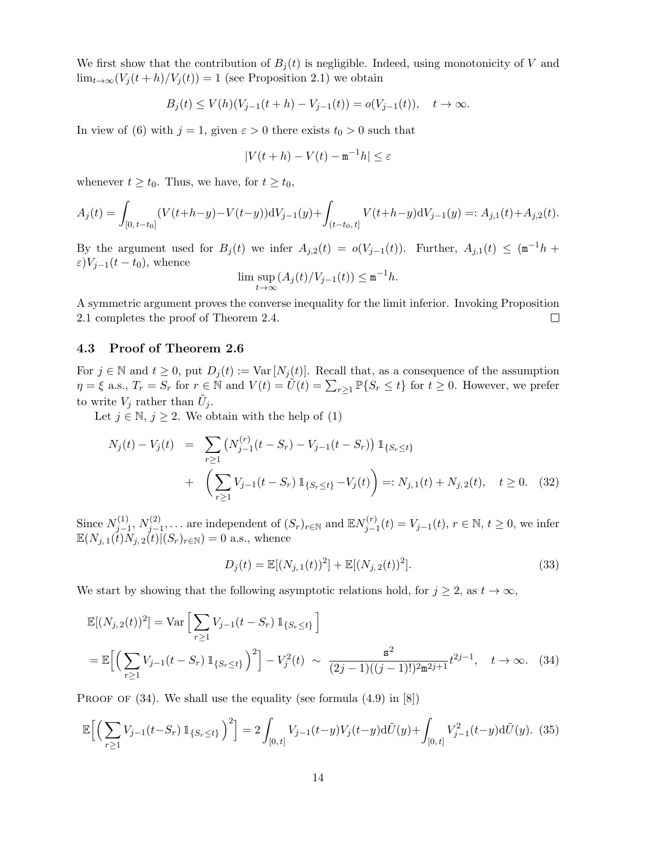We first show that the contribution of  $B_i(t)$  is negligible. Indeed, using monotonicity of V and  $\lim_{t\to\infty}(V_j(t+h)/V_j(t))=1$  (see Proposition 2.1) we obtain

$$
B_j(t) \le V(h)(V_{j-1}(t+h) - V_{j-1}(t)) = o(V_{j-1}(t)), \quad t \to \infty.
$$

In view of (6) with  $j = 1$ , given  $\varepsilon > 0$  there exists  $t_0 > 0$  such that

$$
|V(t+h) - V(t) - \mathbf{m}^{-1}h| \le \varepsilon
$$

whenever  $t \geq t_0$ . Thus, we have, for  $t \geq t_0$ ,

$$
A_j(t) = \int_{[0,t-t_0]} (V(t+h-y) - V(t-y))dV_{j-1}(y) + \int_{(t-t_0,t]} V(t+h-y)dV_{j-1}(y) =: A_{j,1}(t) + A_{j,2}(t).
$$

By the argument used for  $B_j(t)$  we infer  $A_{j,2}(t) = o(V_{j-1}(t))$ . Further,  $A_{j,1}(t) \leq (\mathfrak{m}^{-1}h +$  $\varepsilon$ ) $V_{j-1}(t - t_0)$ , whence

$$
\limsup_{t \to \infty} (A_j(t)/V_{j-1}(t)) \le \mathbf{m}^{-1}h.
$$

A symmetric argument proves the converse inequality for the limit inferior. Invoking Proposition 2.1 completes the proof of Theorem 2.4.  $\Box$ 

### 4.3 Proof of Theorem 2.6

For  $j \in \mathbb{N}$  and  $t \geq 0$ , put  $D_j(t) := \text{Var}[N_j(t)]$ . Recall that, as a consequence of the assumption  $\eta = \xi$  a.s.,  $T_r = S_r$  for  $r \in \mathbb{N}$  and  $V(t) = \tilde{U}(t) = \sum_{r \geq 1} \mathbb{P}\{S_r \leq t\}$  for  $t \geq 0$ . However, we prefer to write  $V_j$  rather than  $\tilde{U}_j$ .

Let  $j \in \mathbb{N}, j \geq 2$ . We obtain with the help of (1)

$$
N_j(t) - V_j(t) = \sum_{r \ge 1} \left( N_{j-1}^{(r)}(t - S_r) - V_{j-1}(t - S_r) \right) \mathbb{1}_{\{S_r \le t\}}
$$
  
+ 
$$
\left( \sum_{r \ge 1} V_{j-1}(t - S_r) \mathbb{1}_{\{S_r \le t\}} - V_j(t) \right) =: N_{j,1}(t) + N_{j,2}(t), \quad t \ge 0. \quad (32)
$$

Since  $N_{i-}^{(1)}$  $j=1, N_{j-1}^{(2)}$  $j_{j-1}^{(2)},\ldots$  are independent of  $(S_r)_{r\in\mathbb{N}}$  and  $\mathbb{E}N_{j-1}^{(r)}$  $j_{j-1}^{(r)}(t) = V_{j-1}(t), r \in \mathbb{N}, t \ge 0$ , we infer  $\mathbb{E}(N_{j,1}(\vec{t})\tilde{N}_{j,2}(\vec{t})\tilde{(S_r)}_{r\in\mathbb{N}})=0$  a.s., whence

$$
D_j(t) = \mathbb{E}[(N_{j,1}(t))^2] + \mathbb{E}[(N_{j,2}(t))^2].
$$
\n(33)

We start by showing that the following asymptotic relations hold, for  $j \geq 2$ , as  $t \to \infty$ ,

$$
\mathbb{E}[(N_{j,2}(t))^2] = \text{Var}\left[\sum_{r\geq 1} V_{j-1}(t-S_r) \mathbb{1}_{\{S_r \leq t\}}\right]
$$
  
= 
$$
\mathbb{E}\left[\left(\sum_{r\geq 1} V_{j-1}(t-S_r) \mathbb{1}_{\{S_r \leq t\}}\right)^2\right] - V_j^2(t) \sim \frac{s^2}{(2j-1)((j-1)!)^2 \mathbb{m}^{2j+1}} t^{2j-1}, \quad t \to \infty.
$$
 (34)

PROOF OF  $(34)$ . We shall use the equality (see formula  $(4.9)$  in  $[8]$ )

$$
\mathbb{E}\Big[\Big(\sum_{r\geq 1} V_{j-1}(t-S_r)\,\mathbb{1}_{\{S_r\leq t\}}\Big)^2\Big] = 2\int_{[0,t]} V_{j-1}(t-y)V_j(t-y)\mathrm{d}\tilde{U}(y) + \int_{[0,t]} V_{j-1}^2(t-y)\mathrm{d}\tilde{U}(y). \tag{35}
$$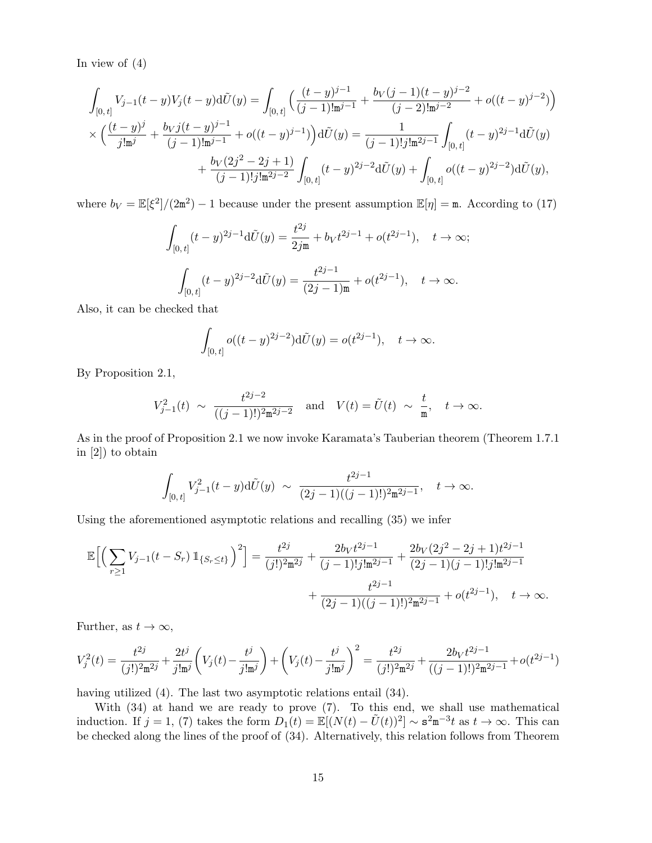In view of  $(4)$ 

$$
\int_{[0,t]} V_{j-1}(t-y)V_j(t-y) \mathrm{d}\tilde{U}(y) = \int_{[0,t]} \left( \frac{(t-y)^{j-1}}{(j-1)! \mathbf{m}^{j-1}} + \frac{b_V(j-1)(t-y)^{j-2}}{(j-2)! \mathbf{m}^{j-2}} + o((t-y)^{j-2}) \right) \times \left( \frac{(t-y)^j}{j! \mathbf{m}^j} + \frac{b_V j(t-y)^{j-1}}{(j-1)! \mathbf{m}^{j-1}} + o((t-y)^{j-1}) \right) \mathrm{d}\tilde{U}(y) = \frac{1}{(j-1)! j! \mathbf{m}^{2j-1}} \int_{[0,t]} (t-y)^{2j-1} \mathrm{d}\tilde{U}(y) + \frac{b_V(2j^2-2j+1)}{(j-1)! j! \mathbf{m}^{2j-2}} \int_{[0,t]} (t-y)^{2j-2} \mathrm{d}\tilde{U}(y) + \int_{[0,t]} o((t-y)^{2j-2}) \mathrm{d}\tilde{U}(y),
$$

where  $b_V = \mathbb{E}[\xi^2]/(2m^2) - 1$  because under the present assumption  $\mathbb{E}[\eta] = m$ . According to (17)

$$
\int_{[0,t]} (t-y)^{2j-1} d\tilde{U}(y) = \frac{t^{2j}}{2j\mathfrak{m}} + b_V t^{2j-1} + o(t^{2j-1}), \quad t \to \infty;
$$

$$
\int_{[0,t]} (t-y)^{2j-2} d\tilde{U}(y) = \frac{t^{2j-1}}{(2j-1)\mathfrak{m}} + o(t^{2j-1}), \quad t \to \infty.
$$

Also, it can be checked that

$$
\int_{[0, t]} o((t - y)^{2j - 2}) d\tilde{U}(y) = o(t^{2j - 1}), \quad t \to \infty.
$$

By Proposition 2.1,

$$
V_{j-1}^2(t) \sim \frac{t^{2j-2}}{((j-1)!)^2 \mathfrak{m}^{2j-2}} \quad \text{and} \quad V(t) = \tilde{U}(t) \sim \frac{t}{\mathfrak{m}}, \quad t \to \infty.
$$

As in the proof of Proposition 2.1 we now invoke Karamata's Tauberian theorem (Theorem 1.7.1 in [2]) to obtain

$$
\int_{[0,t]} V_{j-1}^2(t-y) d\tilde{U}(y) \sim \frac{t^{2j-1}}{(2j-1)((j-1)!)^2 \mathfrak{m}^{2j-1}}, \quad t \to \infty.
$$

Using the aforementioned asymptotic relations and recalling (35) we infer

$$
\mathbb{E}\Big[\Big(\sum_{r\geq 1} V_{j-1}(t-S_r)\,\mathbb{1}_{\{S_r\leq t\}}\Big)^2\Big] = \frac{t^{2j}}{(j!)^2 \mathfrak{m}^{2j}} + \frac{2b_V t^{2j-1}}{(j-1)!j!\mathfrak{m}^{2j-1}} + \frac{2b_V (2j^2-2j+1)t^{2j-1}}{(2j-1)(j-1)!j!\mathfrak{m}^{2j-1}} + \frac{t^{2j-1}}{(2j-1)((j-1)!)^2 \mathfrak{m}^{2j-1}} + o(t^{2j-1}), \quad t \to \infty.
$$

Further, as  $t \to \infty$ ,

$$
V_j^2(t) = \frac{t^{2j}}{(j!)^2 \mathfrak{m}^{2j}} + \frac{2t^j}{j! \mathfrak{m}^j} \left( V_j(t) - \frac{t^j}{j! \mathfrak{m}^j} \right) + \left( V_j(t) - \frac{t^j}{j! \mathfrak{m}^j} \right)^2 = \frac{t^{2j}}{(j!)^2 \mathfrak{m}^{2j}} + \frac{2b_V t^{2j-1}}{((j-1)!)^2 \mathfrak{m}^{2j-1}} + o(t^{2j-1})
$$

having utilized (4). The last two asymptotic relations entail (34).

With (34) at hand we are ready to prove (7). To this end, we shall use mathematical induction. If  $j = 1$ , (7) takes the form  $D_1(t) = \mathbb{E}[(N(t) - \tilde{U}(t))^2] \sim \mathbf{s}^2 \mathbf{m}^{-3} t$  as  $t \to \infty$ . This can be checked along the lines of the proof of (34). Alternatively, this relation follows from Theorem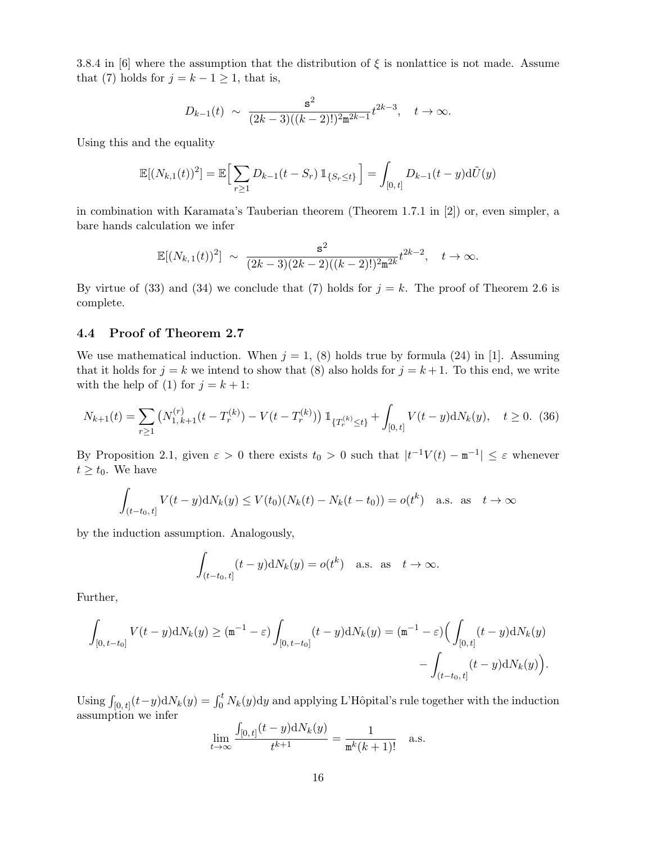3.8.4 in [6] where the assumption that the distribution of  $\xi$  is nonlattice is not made. Assume that (7) holds for  $j = k - 1 \ge 1$ , that is,

$$
D_{k-1}(t) \sim \frac{s^2}{(2k-3)((k-2)!)^2 \mathfrak{m}^{2k-1}} t^{2k-3}, \quad t \to \infty.
$$

Using this and the equality

$$
\mathbb{E}[(N_{k,1}(t))^2] = \mathbb{E}\Big[\sum_{r\geq 1} D_{k-1}(t-S_r) \mathbb{1}_{\{S_r\leq t\}}\Big] = \int_{[0,t]} D_{k-1}(t-y) \mathrm{d}\tilde{U}(y)
$$

in combination with Karamata's Tauberian theorem (Theorem 1.7.1 in [2]) or, even simpler, a bare hands calculation we infer

$$
\mathbb{E}[(N_{k,1}(t))^2] \sim \frac{s^2}{(2k-3)(2k-2)((k-2)!)^2 \pi^{2k}} t^{2k-2}, \quad t \to \infty.
$$

By virtue of (33) and (34) we conclude that (7) holds for  $j = k$ . The proof of Theorem 2.6 is complete.

### 4.4 Proof of Theorem 2.7

We use mathematical induction. When  $j = 1$ , (8) holds true by formula (24) in [1]. Assuming that it holds for  $j = k$  we intend to show that (8) also holds for  $j = k + 1$ . To this end, we write with the help of (1) for  $j = k + 1$ :

$$
N_{k+1}(t) = \sum_{r\geq 1} \left( N_{1,k+1}^{(r)}(t - T_r^{(k)}) - V(t - T_r^{(k)}) \right) \mathbb{1}_{\{T_r^{(k)} \leq t\}} + \int_{[0,t]} V(t - y) \mathrm{d}N_k(y), \quad t \geq 0. \tag{36}
$$

By Proposition 2.1, given  $\varepsilon > 0$  there exists  $t_0 > 0$  such that  $|t^{-1}V(t) - \mathbf{m}^{-1}| \leq \varepsilon$  whenever  $t \geq t_0$ . We have

$$
\int_{(t-t_0,t]} V(t-y) dN_k(y) \le V(t_0)(N_k(t) - N_k(t-t_0)) = o(t^k) \quad \text{a.s. as} \quad t \to \infty
$$

by the induction assumption. Analogously,

$$
\int_{(t-t_0,t]} (t-y) \mathrm{d}N_k(y) = o(t^k) \quad \text{a.s. as} \quad t \to \infty.
$$

Further,

$$
\int_{[0,t-t_0]} V(t-y) dN_k(y) \ge (\mathbf{m}^{-1} - \varepsilon) \int_{[0,t-t_0]} (t-y) dN_k(y) = (\mathbf{m}^{-1} - \varepsilon) \Big( \int_{[0,t]} (t-y) dN_k(y) - \int_{(t-t_0,t]} (t-y) dN_k(y) \Big).
$$

Using  $\int_{[0, t]} (t-y) dN_k(y) = \int_0^t N_k(y) dy$  and applying L'Hôpital's rule together with the induction assumption we infer R  $(1.127)(1)$ 

$$
\lim_{t \to \infty} \frac{\int_{[0,t]} (t - y) dN_k(y)}{t^{k+1}} = \frac{1}{\mathfrak{m}^k (k+1)!} \quad \text{a.s.}
$$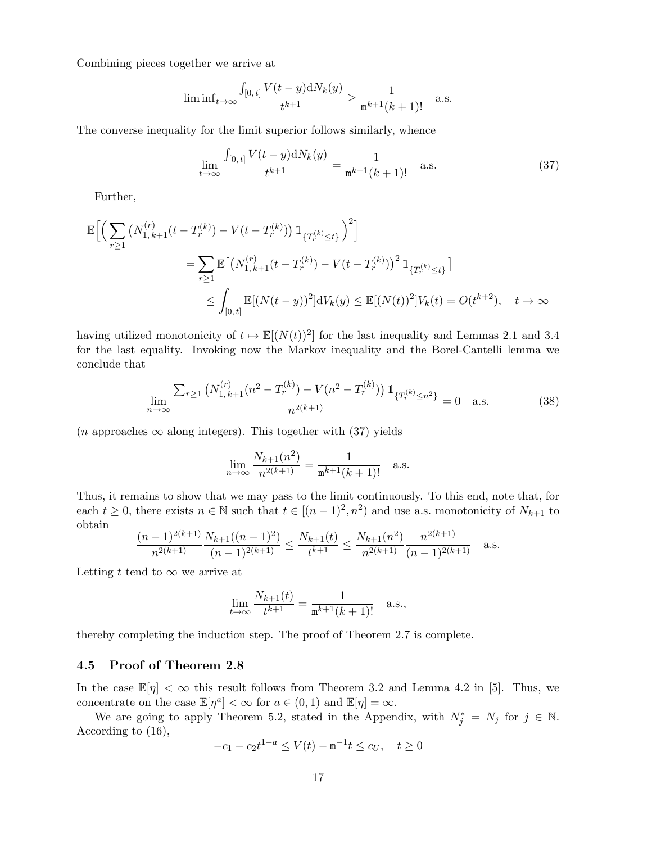Combining pieces together we arrive at

$$
\liminf_{t \to \infty} \frac{\int_{[0,t]} V(t-y) dN_k(y)}{t^{k+1}} \ge \frac{1}{\mathbf{m}^{k+1}(k+1)!} \quad \text{a.s.}
$$

The converse inequality for the limit superior follows similarly, whence

$$
\lim_{t \to \infty} \frac{\int_{[0,t]} V(t-y) dN_k(y)}{t^{k+1}} = \frac{1}{\mathfrak{m}^{k+1}(k+1)!} \quad \text{a.s.} \tag{37}
$$

Further,

$$
\mathbb{E}\Big[\Big(\sum_{r\geq 1} \left(N_{1,k+1}^{(r)}(t-T_r^{(k)})-V(t-T_r^{(k)})\right)\mathbb{1}_{\{T_r^{(k)}\leq t\}}\Big)^2\Big]
$$
\n
$$
=\sum_{r\geq 1} \mathbb{E}\big[\big(N_{1,k+1}^{(r)}(t-T_r^{(k)})-V(t-T_r^{(k)})\big)^2\mathbb{1}_{\{T_r^{(k)}\leq t\}}\big]
$$
\n
$$
\leq \int_{[0,t]} \mathbb{E}[(N(t-y))^2]dV_k(y) \leq \mathbb{E}[(N(t))^2]V_k(t) = O(t^{k+2}), \quad t \to \infty
$$

having utilized monotonicity of  $t \mapsto \mathbb{E}[(N(t))^2]$  for the last inequality and Lemmas 2.1 and 3.4 for the last equality. Invoking now the Markov inequality and the Borel-Cantelli lemma we conclude that

$$
\lim_{n \to \infty} \frac{\sum_{r \ge 1} \left( N_{1,k+1}^{(r)} (n^2 - T_r^{(k)}) - V(n^2 - T_r^{(k)}) \right) \mathbb{1}_{\{T_r^{(k)} \le n^2\}}}{n^{2(k+1)}} = 0 \quad \text{a.s.}
$$
\n(38)

 $(n \text{ approaches } \infty \text{ along integers})$ . This together with (37) yields

$$
\lim_{n \to \infty} \frac{N_{k+1}(n^2)}{n^{2(k+1)}} = \frac{1}{\mathfrak{m}^{k+1}(k+1)!} \quad \text{a.s.}
$$

Thus, it remains to show that we may pass to the limit continuously. To this end, note that, for each  $t \geq 0$ , there exists  $n \in \mathbb{N}$  such that  $t \in [(n-1)^2, n^2)$  and use a.s. monotonicity of  $N_{k+1}$  to obtain

$$
\frac{(n-1)^{2(k+1)}}{n^{2(k+1)}} \frac{N_{k+1}((n-1)^2)}{(n-1)^{2(k+1)}} \le \frac{N_{k+1}(t)}{t^{k+1}} \le \frac{N_{k+1}(n^2)}{n^{2(k+1)}} \frac{n^{2(k+1)}}{(n-1)^{2(k+1)}} \quad \text{a.s.}
$$

Letting t tend to  $\infty$  we arrive at

$$
\lim_{t \to \infty} \frac{N_{k+1}(t)}{t^{k+1}} = \frac{1}{\mathfrak{m}^{k+1}(k+1)!} \quad \text{a.s.},
$$

thereby completing the induction step. The proof of Theorem 2.7 is complete.

#### 4.5 Proof of Theorem 2.8

In the case  $\mathbb{E}[\eta] < \infty$  this result follows from Theorem 3.2 and Lemma 4.2 in [5]. Thus, we concentrate on the case  $\mathbb{E}[\eta^a] < \infty$  for  $a \in (0,1)$  and  $\mathbb{E}[\eta] = \infty$ .

We are going to apply Theorem 5.2, stated in the Appendix, with  $N_j^* = N_j$  for  $j \in \mathbb{N}$ . According to (16),

$$
-c_1 - c_2 t^{1-a} \le V(t) - \mathbf{m}^{-1} t \le c_U, \quad t \ge 0
$$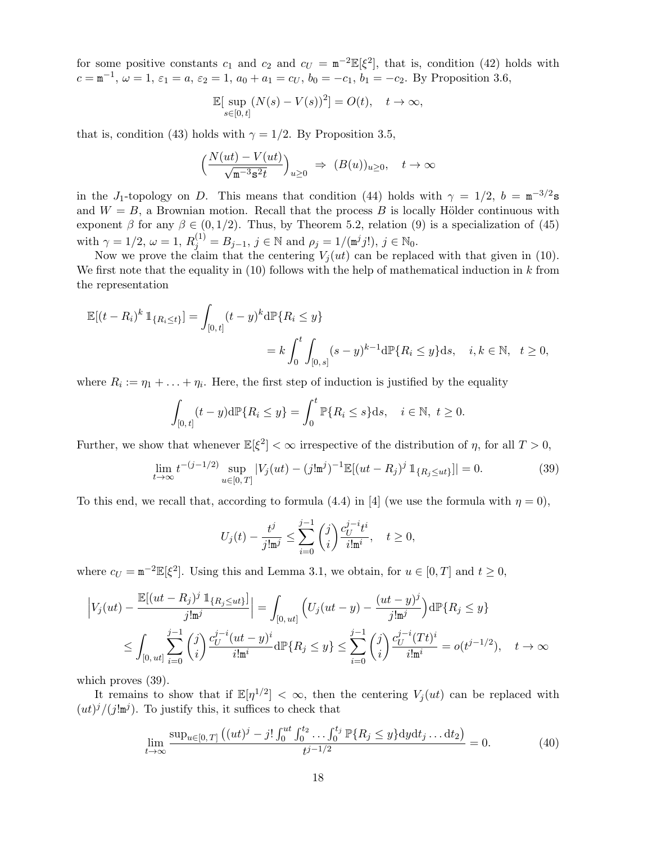for some positive constants  $c_1$  and  $c_2$  and  $c_U = \pi^{-2} \mathbb{E}[\xi^2]$ , that is, condition (42) holds with  $c = \mathbf{m}^{-1}$ ,  $\omega = 1$ ,  $\varepsilon_1 = a$ ,  $\varepsilon_2 = 1$ ,  $a_0 + a_1 = c_U$ ,  $b_0 = -c_1$ ,  $b_1 = -c_2$ . By Proposition 3.6,

$$
\mathbb{E}[\sup_{s\in[0,t]} (N(s)-V(s))^2] = O(t), \quad t\to\infty,
$$

that is, condition (43) holds with  $\gamma = 1/2$ . By Proposition 3.5,

$$
\left(\frac{N(ut) - V(ut)}{\sqrt{\mathfrak{m}^{-3} s^2 t}}\right)_{u \ge 0} \Rightarrow (B(u))_{u \ge 0}, \quad t \to \infty
$$

in the J<sub>1</sub>-topology on D. This means that condition (44) holds with  $\gamma = 1/2$ ,  $b = m^{-3/2}$ s and  $W = B$ , a Brownian motion. Recall that the process B is locally Hölder continuous with exponent  $\beta$  for any  $\beta \in (0, 1/2)$ . Thus, by Theorem 5.2, relation (9) is a specialization of (45) with  $\gamma = 1/2, \omega = 1, R_j^{(1)} = B_{j-1}, j \in \mathbb{N}$  and  $\rho_j = 1/(\mathfrak{m}^j j!)$ ,  $j \in \mathbb{N}_0$ .

Now we prove the claim that the centering  $V_i (ut)$  can be replaced with that given in (10). We first note that the equality in  $(10)$  follows with the help of mathematical induction in k from the representation

$$
\mathbb{E}[(t - R_i)^k \mathbb{1}_{\{R_i \le t\}}] = \int_{[0, t]} (t - y)^k d\mathbb{P}\{R_i \le y\}
$$
  
=  $k \int_0^t \int_{[0, s]} (s - y)^{k-1} d\mathbb{P}\{R_i \le y\} ds, \quad i, k \in \mathbb{N}, \quad t \ge 0,$ 

where  $R_i := \eta_1 + \ldots + \eta_i$ . Here, the first step of induction is justified by the equality

$$
\int_{[0,t]} (t-y)\mathrm{d}\mathbb{P}\{R_i \le y\} = \int_0^t \mathbb{P}\{R_i \le s\} \mathrm{d}s, \quad i \in \mathbb{N}, \ t \ge 0.
$$

Further, we show that whenever  $\mathbb{E}[\xi^2]<\infty$  irrespective of the distribution of  $\eta$ , for all  $T>0$ ,

$$
\lim_{t \to \infty} t^{-(j-1/2)} \sup_{u \in [0,T]} |V_j(ut) - (j! \mathbf{m}^j)^{-1} \mathbb{E}[(ut - R_j)^j \mathbb{1}_{\{R_j \le ut\}}]| = 0.
$$
 (39)

To this end, we recall that, according to formula (4.4) in [4] (we use the formula with  $\eta = 0$ ),

$$
U_j(t) - \frac{t^j}{j! \mathbf{m}^j} \le \sum_{i=0}^{j-1} \binom{j}{i} \frac{c_U^{j-i} t^i}{i! \mathbf{m}^i}, \quad t \ge 0,
$$

where  $c_U = \mathbf{m}^{-2} \mathbb{E}[\xi^2]$ . Using this and Lemma 3.1, we obtain, for  $u \in [0, T]$  and  $t \ge 0$ ,

$$
\left| V_j(ut) - \frac{\mathbb{E}[(ut - R_j)^j \mathbb{1}_{\{R_j \le ut\}}]}{j!m^j} \right| = \int_{[0,ut]} \left( U_j(ut - y) - \frac{(ut - y)^j}{j!m^j} \right) d\mathbb{P}\{R_j \le y\}
$$
  

$$
\le \int_{[0,ut]} \sum_{i=0}^{j-1} {j \choose i} \frac{c_U^{j-i} (ut - y)^i}{i!m^i} d\mathbb{P}\{R_j \le y\} \le \sum_{i=0}^{j-1} {j \choose i} \frac{c_U^{j-i} (Tt)^i}{i!m^i} = o(t^{j-1/2}), \quad t \to \infty
$$

which proves (39).

It remains to show that if  $\mathbb{E}[\eta^{1/2}] < \infty$ , then the centering  $V_j(ut)$  can be replaced with  $(ut)^j/(j!m^j)$ . To justify this, it suffices to check that

$$
\lim_{t \to \infty} \frac{\sup_{u \in [0, T]} \left( (ut)^j - j! \int_0^{ut} \int_0^{t_2} \dots \int_0^{t_j} \mathbb{P} \{ R_j \le y \} \mathrm{d}y \mathrm{d}t_j \dots \mathrm{d}t_2 \right)}{t^{j - 1/2}} = 0. \tag{40}
$$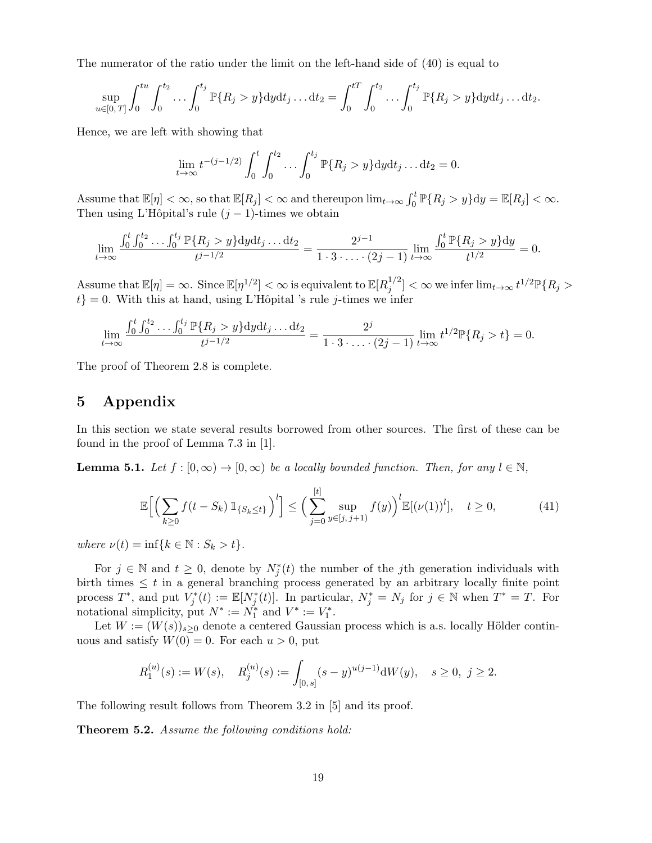The numerator of the ratio under the limit on the left-hand side of (40) is equal to

$$
\sup_{u \in [0,T]} \int_0^{tu} \int_0^{t_2} \dots \int_0^{t_j} \mathbb{P}\{R_j > y\} \mathrm{d}y \mathrm{d}t_j \dots \mathrm{d}t_2 = \int_0^{t} \int_0^{t_2} \dots \int_0^{t_j} \mathbb{P}\{R_j > y\} \mathrm{d}y \mathrm{d}t_j \dots \mathrm{d}t_2.
$$

Hence, we are left with showing that

$$
\lim_{t \to \infty} t^{-(j-1/2)} \int_0^t \int_0^{t_2} \dots \int_0^{t_j} \mathbb{P}\{R_j > y\} \mathrm{d}y \mathrm{d}t_j \dots \mathrm{d}t_2 = 0.
$$

Assume that  $\mathbb{E}[\eta]<\infty$ , so that  $\mathbb{E}[R_j]<\infty$  and thereupon  $\lim_{t\to\infty}\int_0^t \mathbb{P}\{R_j>y\}dy=\mathbb{E}[R_j]<\infty$ . Then using L'Hôpital's rule  $(j-1)$ -times we obtain

$$
\lim_{t \to \infty} \frac{\int_0^t \int_0^{t_2} \cdots \int_0^{t_j} \mathbb{P}\{R_j > y\} dy dt_j \dots dt_2}{t^{j-1/2}} = \frac{2^{j-1}}{1 \cdot 3 \cdot \ldots \cdot (2j-1)} \lim_{t \to \infty} \frac{\int_0^t \mathbb{P}\{R_j > y\} dy}{t^{1/2}} = 0.
$$

Assume that  $\mathbb{E}[\eta] = \infty$ . Since  $\mathbb{E}[\eta^{1/2}] < \infty$  is equivalent to  $\mathbb{E}[R_i^{1/2}]$  $\int_j^{1/2} ] < \infty$  we infer  $\lim_{t \to \infty} t^{1/2} \mathbb{P} \{R_j >$  $t$ } = 0. With this at hand, using L'Hôpital 's rule j-times we infer

$$
\lim_{t \to \infty} \frac{\int_0^t \int_0^{t_2} \dots \int_0^{t_j} \mathbb{P}\{R_j > y\} \mathrm{d}y \mathrm{d}t_j \dots \mathrm{d}t_2}{t^{j-1/2}} = \frac{2^j}{1 \cdot 3 \cdot \dots \cdot (2j-1)} \lim_{t \to \infty} t^{1/2} \mathbb{P}\{R_j > t\} = 0.
$$

The proof of Theorem 2.8 is complete.

# 5 Appendix

In this section we state several results borrowed from other sources. The first of these can be found in the proof of Lemma 7.3 in [1].

**Lemma 5.1.** Let  $f : [0, \infty) \to [0, \infty)$  be a locally bounded function. Then, for any  $l \in \mathbb{N}$ ,

$$
\mathbb{E}\Big[\Big(\sum_{k\geq 0} f(t-S_k) \, \mathbb{1}_{\{S_k \leq t\}}\Big)^l\Big] \leq \Big(\sum_{j=0}^{[t]} \sup_{y \in [j,j+1)} f(y)\Big)^l \mathbb{E}[(\nu(1))^l], \quad t \geq 0,
$$
\n(41)

where  $\nu(t) = \inf\{k \in \mathbb{N} : S_k > t\}.$ 

For  $j \in \mathbb{N}$  and  $t \geq 0$ , denote by  $N_j^*(t)$  the number of the jth generation individuals with birth times  $\leq t$  in a general branching process generated by an arbitrary locally finite point process  $T^*$ , and put  $V_j^*(t) := \mathbb{E}[N_j^*(t)]$ . In particular,  $N_j^* = N_j$  for  $j \in \mathbb{N}$  when  $T^* = T$ . For notational simplicity, put  $N^* := N_1^*$  and  $V^* := V_1^*$ .

Let  $W := (W(s))_{s>0}$  denote a centered Gaussian process which is a.s. locally Hölder continuous and satisfy  $W(0) = 0$ . For each  $u > 0$ , put

$$
R_1^{(u)}(s):=W(s),\quad R_j^{(u)}(s):=\int_{[0,\,s]}(s-y)^{u(j-1)}\mathrm{d} W(y),\quad s\geq 0,\ j\geq 2.
$$

The following result follows from Theorem 3.2 in [5] and its proof.

Theorem 5.2. Assume the following conditions hold: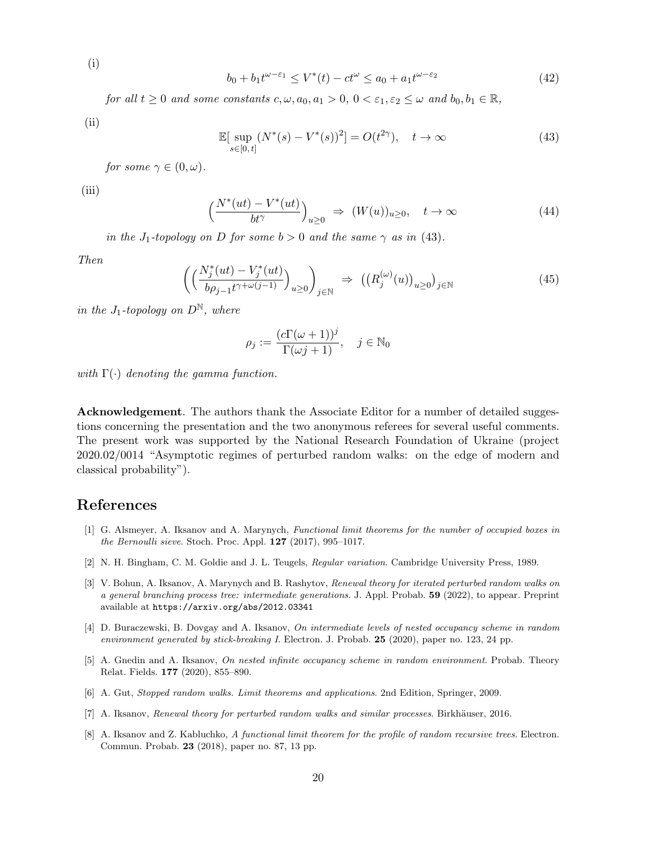$$
(i)
$$

$$
b_0 + b_1 t^{\omega - \varepsilon_1} \le V^*(t) - ct^{\omega} \le a_0 + a_1 t^{\omega - \varepsilon_2}
$$
\n(42)

for all  $t \geq 0$  and some constants  $c, \omega, a_0, a_1 > 0, 0 < \varepsilon_1, \varepsilon_2 \leq \omega$  and  $b_0, b_1 \in \mathbb{R}$ ,

(ii)

$$
\mathbb{E}[\sup_{s\in[0,t]} (N^*(s) - V^*(s))^2] = O(t^{2\gamma}), \quad t \to \infty
$$
\n(43)

for some  $\gamma \in (0, \omega)$ .

(iii)

$$
\left(\frac{N^*(ut) - V^*(ut)}{bt^{\gamma}}\right)_{u \ge 0} \Rightarrow (W(u))_{u \ge 0}, \quad t \to \infty \tag{44}
$$

in the J<sub>1</sub>-topology on D for some  $b > 0$  and the same  $\gamma$  as in (43).

Then

$$
\left(\left(\frac{N_j^*(ut) - V_j^*(ut)}{b\rho_{j-1}t^{\gamma + \omega(j-1)}}\right)_{u \ge 0}\right)_{j \in \mathbb{N}} \Rightarrow \left(\left(R_j^{(\omega)}(u)\right)_{u \ge 0}\right)_{j \in \mathbb{N}} \tag{45}
$$

in the J<sub>1</sub>-topology on  $D^{\mathbb{N}}$ , where

$$
\rho_j := \frac{(c\Gamma(\omega+1))^j}{\Gamma(\omega j+1)}, \quad j \in \mathbb{N}_0
$$

with  $\Gamma(\cdot)$  denoting the gamma function.

Acknowledgement. The authors thank the Associate Editor for a number of detailed suggestions concerning the presentation and the two anonymous referees for several useful comments. The present work was supported by the National Research Foundation of Ukraine (project 2020.02/0014 "Asymptotic regimes of perturbed random walks: on the edge of modern and classical probability").

# References

- [1] G. Alsmeyer, A. Iksanov and A. Marynych, Functional limit theorems for the number of occupied boxes in the Bernoulli sieve. Stoch. Proc. Appl. 127 (2017), 995–1017.
- [2] N. H. Bingham, C. M. Goldie and J. L. Teugels, Regular variation. Cambridge University Press, 1989.
- [3] V. Bohun, A. Iksanov, A. Marynych and B. Rashytov, Renewal theory for iterated perturbed random walks on a general branching process tree: intermediate generations. J. Appl. Probab. 59 (2022), to appear. Preprint available at https://arxiv.org/abs/2012.03341
- [4] D. Buraczewski, B. Dovgay and A. Iksanov, On intermediate levels of nested occupancy scheme in random environment generated by stick-breaking I. Electron. J. Probab. 25 (2020), paper no. 123, 24 pp.
- [5] A. Gnedin and A. Iksanov, On nested infinite occupancy scheme in random environment. Probab. Theory Relat. Fields. 177 (2020), 855–890.
- [6] A. Gut, Stopped random walks. Limit theorems and applications. 2nd Edition, Springer, 2009.
- [7] A. Iksanov, Renewal theory for perturbed random walks and similar processes. Birkhäuser, 2016.
- [8] A. Iksanov and Z. Kabluchko, A functional limit theorem for the profile of random recursive trees. Electron. Commun. Probab. 23 (2018), paper no. 87, 13 pp.